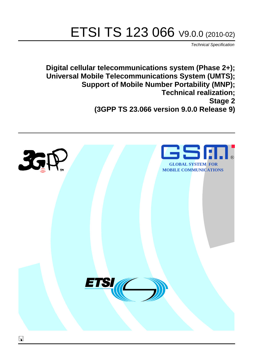# ETSI TS 123 066 V9.0.0 (2010-02)

*Technical Specification*

**Digital cellular telecommunications system (Phase 2+); Universal Mobile Telecommunications System (UMTS); Support of Mobile Number Portability (MNP); Technical realization; Stage 2 (3GPP TS 23.066 version 9.0.0 Release 9)**

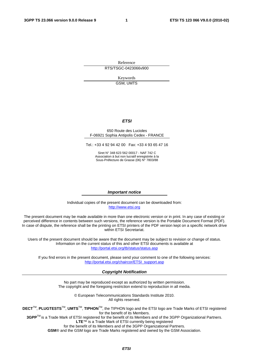Reference RTS/TSGC-0423066v900

> Keywords GSM, UMTS

#### *ETSI*

#### 650 Route des Lucioles F-06921 Sophia Antipolis Cedex - FRANCE

Tel.: +33 4 92 94 42 00 Fax: +33 4 93 65 47 16

Siret N° 348 623 562 00017 - NAF 742 C Association à but non lucratif enregistrée à la Sous-Préfecture de Grasse (06) N° 7803/88

#### *Important notice*

Individual copies of the present document can be downloaded from: [http://www.etsi.org](http://www.etsi.org/)

The present document may be made available in more than one electronic version or in print. In any case of existing or perceived difference in contents between such versions, the reference version is the Portable Document Format (PDF). In case of dispute, the reference shall be the printing on ETSI printers of the PDF version kept on a specific network drive within ETSI Secretariat.

Users of the present document should be aware that the document may be subject to revision or change of status. Information on the current status of this and other ETSI documents is available at <http://portal.etsi.org/tb/status/status.asp>

If you find errors in the present document, please send your comment to one of the following services: [http://portal.etsi.org/chaircor/ETSI\\_support.asp](http://portal.etsi.org/chaircor/ETSI_support.asp)

#### *Copyright Notification*

No part may be reproduced except as authorized by written permission. The copyright and the foregoing restriction extend to reproduction in all media.

> © European Telecommunications Standards Institute 2010. All rights reserved.

**DECT**TM, **PLUGTESTS**TM, **UMTS**TM, **TIPHON**TM, the TIPHON logo and the ETSI logo are Trade Marks of ETSI registered for the benefit of its Members.

**3GPP**TM is a Trade Mark of ETSI registered for the benefit of its Members and of the 3GPP Organizational Partners. **LTE**™ is a Trade Mark of ETSI currently being registered

for the benefit of its Members and of the 3GPP Organizational Partners.

**GSM**® and the GSM logo are Trade Marks registered and owned by the GSM Association.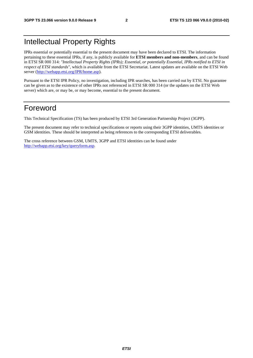### Intellectual Property Rights

IPRs essential or potentially essential to the present document may have been declared to ETSI. The information pertaining to these essential IPRs, if any, is publicly available for **ETSI members and non-members**, and can be found in ETSI SR 000 314: *"Intellectual Property Rights (IPRs); Essential, or potentially Essential, IPRs notified to ETSI in respect of ETSI standards"*, which is available from the ETSI Secretariat. Latest updates are available on the ETSI Web server [\(http://webapp.etsi.org/IPR/home.asp](http://webapp.etsi.org/IPR/home.asp)).

Pursuant to the ETSI IPR Policy, no investigation, including IPR searches, has been carried out by ETSI. No guarantee can be given as to the existence of other IPRs not referenced in ETSI SR 000 314 (or the updates on the ETSI Web server) which are, or may be, or may become, essential to the present document.

### Foreword

This Technical Specification (TS) has been produced by ETSI 3rd Generation Partnership Project (3GPP).

The present document may refer to technical specifications or reports using their 3GPP identities, UMTS identities or GSM identities. These should be interpreted as being references to the corresponding ETSI deliverables.

The cross reference between GSM, UMTS, 3GPP and ETSI identities can be found under [http://webapp.etsi.org/key/queryform.asp.](http://webapp.etsi.org/key/queryform.asp)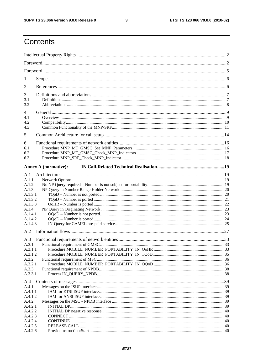$\mathbf{3}$ 

## Contents

| 1                  |                             |  |  |
|--------------------|-----------------------------|--|--|
| 2                  |                             |  |  |
| 3                  |                             |  |  |
| 3.1                |                             |  |  |
| 3.2                |                             |  |  |
| 4<br>4.1           |                             |  |  |
| 4.2                |                             |  |  |
| 4.3                |                             |  |  |
| 5                  |                             |  |  |
| 6                  |                             |  |  |
| 6.1                |                             |  |  |
| 6.2                |                             |  |  |
| 6.3                |                             |  |  |
|                    | <b>Annex A (normative):</b> |  |  |
| A.1                |                             |  |  |
| A.1.1              |                             |  |  |
| A.1.2              |                             |  |  |
| A.1.3              |                             |  |  |
| A.1.3.1            |                             |  |  |
| A.1.3.2<br>A.1.3.3 |                             |  |  |
| A.1.4              |                             |  |  |
| A.1.4.1            |                             |  |  |
| A.1.4.2            |                             |  |  |
| A.1.4.3            |                             |  |  |
| A.2                |                             |  |  |
| A.3                |                             |  |  |
| A.3.1              |                             |  |  |
| A.3.1.1            |                             |  |  |
| A.3.1.2            |                             |  |  |
| A.3.2<br>A.3.2.1   |                             |  |  |
| A.3.3              |                             |  |  |
| A.3.3.1            |                             |  |  |
| A.4                |                             |  |  |
| A.4.1              |                             |  |  |
| A.4.1.1            |                             |  |  |
| A.4.1.2            |                             |  |  |
| A.4.2              |                             |  |  |
| A.4.2.1            |                             |  |  |
| A.4.2.2<br>A.4.2.3 |                             |  |  |
| A.4.2.4            |                             |  |  |
| A.4.2.5            |                             |  |  |
| A.4.2.6            |                             |  |  |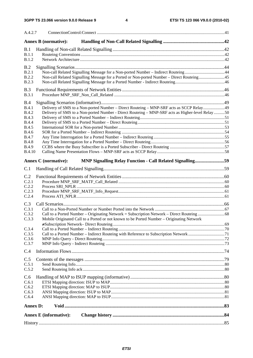| A.4.2.7                      |                                                                                                  |  |
|------------------------------|--------------------------------------------------------------------------------------------------|--|
|                              | <b>Annex B</b> (normative):                                                                      |  |
| B.1                          |                                                                                                  |  |
| B.1.1<br><b>B.1.2</b>        |                                                                                                  |  |
| B.2                          |                                                                                                  |  |
| B.2.1                        | Non-call Related Signalling Message for a Non-ported Number - Indirect Routeing44                |  |
| <b>B.2.2</b><br><b>B.2.3</b> | Non-call Related Signalling Message for a Ported or Non-ported Number – Direct Routeing45        |  |
|                              |                                                                                                  |  |
| B.3<br><b>B.3.1</b>          |                                                                                                  |  |
| B.4                          |                                                                                                  |  |
| <b>B.4.1</b>                 | Delivery of SMS to a Non-ported Number - Direct Routeing - MNP-SRF acts as SCCP Relay49          |  |
| <b>B.4.2</b>                 | Delivery of SMS to a Non-ported Number - Direct Routeing - MNP-SRF acts as Higher-level Relay 50 |  |
| <b>B.4.3</b>                 |                                                                                                  |  |
| <b>B.4.4</b>                 |                                                                                                  |  |
| <b>B.4.5</b><br><b>B.4.6</b> |                                                                                                  |  |
| <b>B.4.7</b>                 |                                                                                                  |  |
| <b>B.4.8</b>                 |                                                                                                  |  |
| <b>B.4.9</b>                 |                                                                                                  |  |
| <b>B.4.10</b>                |                                                                                                  |  |
|                              | MNP Signalling Relay Function - Call Related Signalling59<br><b>Annex C</b> (normative):         |  |
| C.1                          |                                                                                                  |  |
| C.2                          |                                                                                                  |  |
| C.2.1                        |                                                                                                  |  |
| C.2.2                        |                                                                                                  |  |
| C.2.3<br>C.2.4               |                                                                                                  |  |
|                              |                                                                                                  |  |
| C.3                          |                                                                                                  |  |
| C.3.1<br>C.3.2               |                                                                                                  |  |
| C.3.3                        | Mobile Originated Call to a Ported or not known to be Ported Number - Originating Network        |  |
|                              |                                                                                                  |  |
| C.3.4                        |                                                                                                  |  |
| C.3.5<br>C.3.6               |                                                                                                  |  |
| C.3.7                        |                                                                                                  |  |
| C.4                          |                                                                                                  |  |
| C.5                          |                                                                                                  |  |
| C.5.1                        |                                                                                                  |  |
| C.5.2                        |                                                                                                  |  |
| C.6                          |                                                                                                  |  |
| C.6.1                        |                                                                                                  |  |
| C.6.2                        |                                                                                                  |  |
| C.6.3                        |                                                                                                  |  |
| C.6.4                        |                                                                                                  |  |
| <b>Annex D:</b>              |                                                                                                  |  |
|                              | <b>Annex E</b> (informative):                                                                    |  |
|                              |                                                                                                  |  |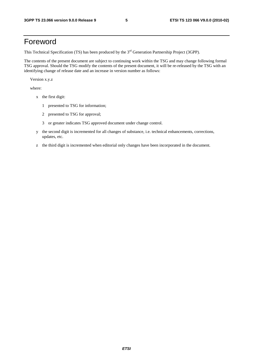### Foreword

This Technical Specification (TS) has been produced by the 3<sup>rd</sup> Generation Partnership Project (3GPP).

The contents of the present document are subject to continuing work within the TSG and may change following formal TSG approval. Should the TSG modify the contents of the present document, it will be re-released by the TSG with an identifying change of release date and an increase in version number as follows:

Version x.y.z

where:

- x the first digit:
	- 1 presented to TSG for information;
	- 2 presented to TSG for approval;
	- 3 or greater indicates TSG approved document under change control.
- y the second digit is incremented for all changes of substance, i.e. technical enhancements, corrections, updates, etc.
- z the third digit is incremented when editorial only changes have been incorporated in the document.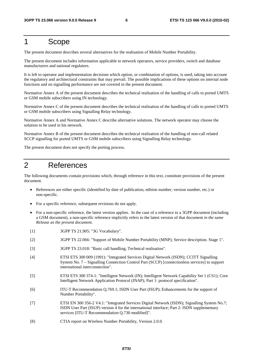### 1 Scope

The present document describes several alternatives for the realisation of Mobile Number Portability.

The present document includes information applicable to network operators, service providers, switch and database manufacturers and national regulators.

It is left to operator and implementation decisions which option, or combination of options, is used, taking into account the regulatory and architectural constraints that may prevail. The possible implications of these options on internal node functions and on signalling performance are not covered in the present document.

Normative Annex A of the present document describes the technical realisation of the handling of calls to ported UMTS or GSM mobile subscribers using IN technology.

Normative Annex C of the present document describes the technical realisation of the handling of calls to ported UMTS or GSM mobile subscribers using Signalling Relay technology.

Normative Annex A and Normative Annex C describe alternative solutions. The network operator may choose the solution to be used in his network.

Normative Annex B of the present document describes the technical realisation of the handling of non-call related SCCP signalling for ported UMTS or GSM mobile subscribers using Signalling Relay technology.

The present document does not specify the porting process.

### 2 References

The following documents contain provisions which, through reference in this text, constitute provisions of the present document.

- References are either specific (identified by date of publication, edition number, version number, etc.) or non-specific.
- For a specific reference, subsequent revisions do not apply.
- For a non-specific reference, the latest version applies. In the case of a reference to a 3GPP document (including a GSM document), a non-specific reference implicitly refers to the latest version of that document *in the same Release as the present document*.
- [1] 3GPP TS 21.905: "3G Vocabulary".
- [2] 3GPP TS 22.066: "Support of Mobile Number Portability (MNP); Service description. Stage 1".
- [3] 3GPP TS 23.018: "Basic call handling; Technical realisation".
- [4] ETSI ETS 300 009 (1991): "Integrated Services Digital Network (ISDN); CCITT Signalling System No. 7 – Signalling Connection Control Part (SCCP) [connectionless services] to support international interconnection".
- [5] ETSI ETS 300 374-1: "Intelligent Network (IN); Intelligent Network Capability Set 1 (CS1); Core Intelligent Network Application Protocol (INAP); Part 1: protocol specification".
- [6] ITU-T Recommendation Q.769.1; ISDN User Part (ISUP); Enhancements for the support of Number Portability".
- [7] ETSI EN 300 356-2 V4.1: "Integrated Services Digital Network (ISDN); Signalling System No.7; ISDN User Part (ISUP) version 4 for the international interface; Part 2: ISDN supplementary services [ITU-T Recommendation Q.730 modified]".
- [8} CTIA report on Wireless Number Portability, Version 2.0.0.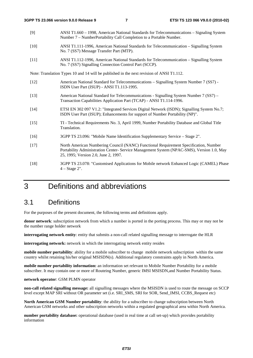- [9] ANSI T1.660 1998, American National Standards for Telecommunications Signaling System Number 7 – NumberPortability Call Completion to a Portable Number.
- [10] ANSI T1.111-1996, American National Standards for Telecommunication Signalling System No. 7 (SS7) Message Transfer Part (MTP).
- [11] ANSI T1.112-1996, American National Standards for Telecommunication Signalling System No. 7 (SS7) Signalling Connection Control Part (SCCP).

Note: Translation Types 10 and 14 will be published in the next revision of ANSI T1.112.

- [12] American National Standard for Telecommunications Signalling System Number 7 (SS7) ISDN User Part (ISUP) - ANSI T1.113-1995.
- [13] American National Standard for Telecommunications Signalling System Number 7 (SS7) Transaction Capabilities Application Part (TCAP) - ANSI T1.114-1996.
- [14] ETSI EN 302 097 V1.2: "Integrated Services Digital Network (ISDN); Signalling System No.7; ISDN User Part (ISUP); Enhancements for support of Number Portability (NP)".
- [15] TI Technical Requirements No. 3, April 1999, Number Portability Database and Global Title Translation.
- [16] 3GPP TS 23.096: "Mobile Name Identification Supplementary Service Stage 2".
- [17] North American Numbering Council (NANC) Functional Requirement Specification, Number Portability Administration Center- Service Management System (NPAC-SMS), Version 1.0, May 25, 1995; Version 2.0, June 2, 1997*.*
- [18] 3GPP TS 23.078: "Customised Applications for Mobile network Enhanced Logic (CAMEL) Phase 4 – Stage 2".

### 3 Definitions and abbreviations

#### 3.1 Definitions

For the purposes of the present document, the following terms and definitions apply.

**donor network**: subscription network from which a number is ported in the porting process. This may or may not be the number range holder network

**interrogating network entity**: entity that submits a non-call related signalling message to interrogate the HLR

**interrogating network:** network in which the interrogating network entity resides

**mobile number portability**: ability for a mobile subscriber to change mobile network subscription within the same country whilst retaining his/her original MSISDN(s). Additional regulatory constraints apply in North America.

**mobile number portability information:** an information set relevant to Mobile Number Portability for a mobile subscriber. It may contain one or more of Routeing Number, generic IMSI MSISDN,and Number Portability Status.

#### **network operator**: GSM PLMN operator

**non-call related signalling message:** all signalling messages where the MSISDN is used to route the message on SCCP level except MAP SRI without OR parameter set (i.e. SRI\_SMS, SRI for SOR, Send\_IMSI, CCBS\_Request etc)

**North American GSM Number portability**: the ability for a subscriber to change subscription between North American GSM networks and other subscription networks within a regulated geographical area within North America.

**number portability database:** operational database (used in real time at call set-up) which provides portability information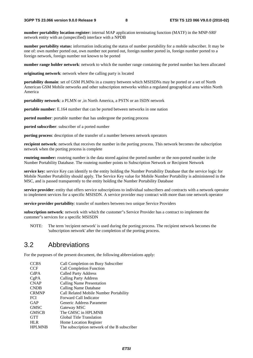**number portability location register:** internal MAP application terminating function (MATF) in the MNP-SRF network entity with an (unspecified) interface with a NPDB

**number portability status:** information indicating the status of number portability for a mobile subscriber. It may be one of: own number ported out, own number not ported out, foreign number ported in, foreign number ported to a foreign network, foreign number not known to be ported

**number range holder network**: network to which the number range containing the ported number has been allocated

**originating network**: network where the calling party is located

**portability domain**: set of GSM PLMNs in a country between which MSISDNs may be ported or a set of North American GSM Mobile networks and other subscription networks within a regulated geographical area within North America

**portability network**: a PLMN or ,in North America, a PSTN or an ISDN network

**portable number**: E.164 number that can be ported between networks in one nation

**ported number**: portable number that has undergone the porting process

**ported subscriber**: subscriber of a ported number

**porting process**: description of the transfer of a number between network operators

**recipient network**: network that receives the number in the porting process. This network becomes the subscription network when the porting process is complete

**routeing number:** routeing number is the data stored against the ported number or the non-ported number in the Number Portability Database. The routeing number points to Subscription Network or Recipient Network

**service key:** service Key can identify to the entity holding the Number Portability Database that the service logic for Mobile Number Portability should apply. The Service Key value for Mobile Number Portability is administered in the MSC, and is passed transparently to the entity holding the Number Portability Database

**service provider**: entity that offers service subscriptions to individual subscribers and contracts with a network operator to implement services for a specific MSISDN. A service provider may contract with more than one network operator

**service provider portability**: transfer of numbers between two unique Service Providers

**subscription network**: network with which the customer"s Service Provider has a contract to implement the customer"s services for a specific MSISDN

NOTE: The term 'recipient network' is used during the porting process. The recipient network becomes the 'subscription network' after the completion of the porting process.

#### 3.2 Abbreviations

For the purposes of the present document, the following abbreviations apply:

| <b>CCBS</b>   | Call Completion on Busy Subscriber           |
|---------------|----------------------------------------------|
| <b>CCF</b>    | <b>Call Completion Function</b>              |
| CdPA          | <b>Called Party Address</b>                  |
| CgPA          | <b>Calling Party Address</b>                 |
| <b>CNAP</b>   | Calling Name Presentation                    |
| <b>CNDB</b>   | Calling Name Database                        |
| <b>CRMNP</b>  | Call Related Mobile Number Portability       |
| <b>FCI</b>    | Forward Call Indicator                       |
| GAP           | Generic Address Parameter                    |
| <b>GMSC</b>   | Gateway MSC                                  |
| <b>GMSCB</b>  | The GMSC in HPLMNB                           |
| <b>GTT</b>    | Global Title Translation                     |
| <b>HLR</b>    | <b>Home Location Register</b>                |
| <b>HPLMNB</b> | The subscription network of the B subscriber |
|               |                                              |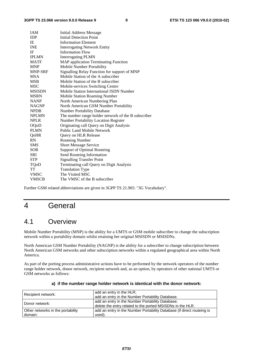| <b>IAM</b>     | <b>Initial Address Message</b>                      |
|----------------|-----------------------------------------------------|
| <b>IDP</b>     | <b>Initial Detection Point</b>                      |
| IE             | <b>Information Element</b>                          |
| <b>INE</b>     | <b>Interrogating Network Entity</b>                 |
| IF             | <b>Information Flow</b>                             |
| <b>IPLMN</b>   | <b>Interrogating PLMN</b>                           |
| <b>MATF</b>    | <b>MAP</b> application Terminating Function         |
| <b>MNP</b>     | Mobile Number Portability                           |
| <b>MNP-SRF</b> | Signalling Relay Function for support of MNP        |
| <b>MSA</b>     | Mobile Station of the A subscriber                  |
| <b>MSB</b>     | Mobile Station of the B subscriber                  |
| MSC            | Mobile-services Switching Centre                    |
| <b>MSISDN</b>  | Mobile Station International ISDN Number            |
| <b>MSRN</b>    | Mobile Station Roaming Number                       |
| <b>NANP</b>    | North American Numbering Plan                       |
| <b>NAGNP</b>   | North American GSM Number Portability               |
| <b>NPDB</b>    | <b>Number Portability Database</b>                  |
| <b>NPLMN</b>   | The number range holder network of the B subscriber |
| <b>NPLR</b>    | <b>Number Portability Location Register</b>         |
| OQoD           | Originating call Query on Digit Analysis            |
| <b>PLMN</b>    | <b>Public Land Mobile Network</b>                   |
| QoHR           | Query on HLR Release                                |
| RN             | <b>Routeing Number</b>                              |
| <b>SMS</b>     | <b>Short Message Service</b>                        |
| <b>SOR</b>     | <b>Support of Optimal Routeing</b>                  |
| <b>SRI</b>     | Send Routeing Information                           |
| <b>STP</b>     | <b>Signalling Transfer Point</b>                    |
| TQoD           | Terminating call Query on Digit Analysis            |
| TT             | <b>Translation Type</b>                             |
| <b>VMSC</b>    | The Visited MSC                                     |
| <b>VMSCB</b>   | The VMSC of the B subscriber                        |

Further GSM related abbreviations are given in 3GPP TS 21.905: "3G Vocabulary".

### 4 General

#### 4.1 Overview

Mobile Number Portability (MNP) is the ability for a UMTS or GSM mobile subscriber to change the subscription network within a portability domain whilst retaining her original MSISDN or MSISDNs.

North American GSM Number Portability (NAGNP) is the ability for a subscriber to change subscription between North American GSM networks and other subscription networks within a regulated geographical area within North America.

As part of the porting process administrative actions have to be performed by the network operators of the number range holder network, donor network, recipient network and, as an option, by operators of other national UMTS or GSM networks as follows:

| Recipient network:                | add an entry in the HLR;<br>add an entry in the Number Portability Database.                                   |
|-----------------------------------|----------------------------------------------------------------------------------------------------------------|
| Donor network:                    | add an entry in the Number Portability Database;<br>delete the entry related to the ported MSISDNs in the HLR. |
| Other networks in the portability | add an entry in the Number Portability Database (if direct routeing is                                         |
| domain:                           | used).                                                                                                         |

#### **a) if the number range holder network is identical with the donor network:**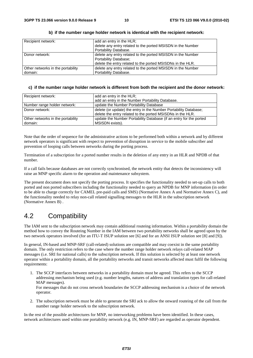| Recipient network:                | add an entry in the HLR;                                    |
|-----------------------------------|-------------------------------------------------------------|
|                                   | delete any entry related to the ported MSISDN in the Number |
|                                   | Portability Database.                                       |
| Donor network:                    | delete any entry related to the ported MSISDN in the Number |
|                                   | Portability Database;                                       |
|                                   | delete the entry related to the ported MSISDNs in the HLR.  |
| Other networks in the portability | delete any entry related to the ported MSISDN in the Number |
| domain:                           | Portability Database.                                       |

#### **b) if the number range holder network is identical with the recipient network:**

#### **c) if the number range holder network is different from both the recipient and the donor network:**

| Recipient network:                | add an entry in the HLR;                                           |
|-----------------------------------|--------------------------------------------------------------------|
|                                   | add an entry in the Number Portability Database.                   |
| Number range holder network:      | update the Number Portability Database                             |
| Donor network:                    | delete (or update) the entry in the Number Portability Database;   |
|                                   | delete the entry related to the ported MSISDNs in the HLR.         |
| Other networks in the portability | update the Number Portability Database (if an entry for the ported |
| domain:                           | MSISDN exists).                                                    |

Note that the order of sequence for the administrative actions to be performed both within a network and by different network operators is significant with respect to prevention of disruption in service to the mobile subscriber and prevention of looping calls between networks during the porting process.

Termination of a subscription for a ported number results in the deletion of any entry in an HLR and NPDB of that number.

If a call fails because databases are not correctly synchronised, the network entity that detects the inconsistency will raise an MNP specific alarm to the operation and maintenance subsystem.

The present document does not specify the porting process. It specifies the functionality needed to set-up calls to both ported and non ported subscribers including the functionality needed to query an NPDB for MNP information (in order to be able to charge correctly for CAMEL pre-paid calls and SMS) (Normative Annex A and Normative Annex C), and the functionality needed to relay non-call related signalling messages to the HLR in the subscription network (Normative Annex B) .

### 4.2 Compatibility

The IAM sent to the subscription network may contain additional routeing information. Within a portability domain the method how to convey the Routeing Number in the IAM between two portability networks shall be agreed upon by the two network operators involved (for an ITU-T ISUP solution see [6] and for an ANSI ISUP solution see [8] and [9]).

In general, IN-based and MNP-SRF (call-related) solutions are compatible and may coexist in the same portability domain. The only restriction refers to the case where the number range holder network relays call-related MAP messages (i.e. SRI for national calls) to the subscription network. If this solution is selected by at least one network operator within a portability domain, all the portability networks and transit networks affected must fulfil the following requirements:

1. The SCCP interfaces between networks in a portability domain must be agreed. This refers to the SCCP addressing mechanism being used (e.g. number lengths, natures of address and translation types for call-related MAP messages).

For messages that do not cross network boundaries the SCCP addressing mechanism is a choice of the network operator.

2. The subscription network must be able to generate the SRI ack to allow the onward routeing of the call from the number range holder network to the subscription network.

In the rest of the possible architectures for MNP, no interworking problems have been identified. In these cases, network architectures used within one portability network (e.g. IN, MNP-SRF) are regarded as operator dependent.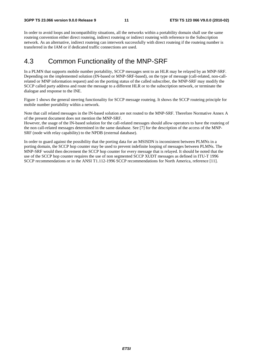In order to avoid loops and incompatibility situations, all the networks within a portability domain shall use the same routeing convention either direct routeing, indirect routeing or indirect routeing with reference to the Subscription network. As an alternative, indirect routeing can interwork successfully with direct routeing if the routeing number is transferred in the IAM or if dedicated traffic connections are used.

#### 4.3 Common Functionality of the MNP-SRF

In a PLMN that supports mobile number portability, SCCP messages sent to an HLR may be relayed by an MNP-SRF. Depending on the implemented solution (IN-based or MNP-SRF-based), on the type of message (call-related, non-callrelated or MNP information request) and on the porting status of the called subscriber, the MNP-SRF may modify the SCCP called party address and route the message to a different HLR or to the subscription network, or terminate the dialogue and response to the INE.

Figure 1 shows the general steering functionality for SCCP message routeing. It shows the SCCP routeing principle for mobile number portability within a network.

Note that call related messages in the IN-based solution are not routed to the MNP-SRF. Therefore Normative Annex A of the present document does not mention the MNP-SRF.

However, the usage of the IN-based solution for the call-related messages should allow operators to have the routeing of the non call-related messages determined in the same database. See [7] for the description of the access of the MNP-SRF (node with relay capability) to the NPDB (external database).

In order to guard against the possibility that the porting data for an MSISDN is inconsistent between PLMNs in a porting domain, the SCCP hop counter may be used to prevent indefinite looping of messages between PLMNs. The MNP-SRF would then decrement the SCCP hop counter for every message that is relayed. It should be noted that the use of the SCCP hop counter requires the use of non segmented SCCP XUDT messages as defined in ITU-T 1996 SCCP recommendations or in the ANSI T1.112-1996 SCCP recommendations for North America, reference [11].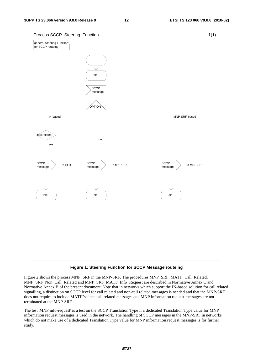

#### **Figure 1: Steering Function for SCCP Message routeing**

Figure 2 shows the process MNP\_SRF in the MNP-SRF. The procedures MNP\_SRF\_MATF\_Call\_Related, MNP\_SRF\_Non\_Call\_Related and MNP\_SRF\_MATF\_Info\_Request are described in Normative Annex C and Normative Annex B of the present document. Note that in networks which support the IN-based solution for call related signalling, a distinction on SCCP level for call related and non-call related messages is needed and that the MNP-SRF does not require to include MATF"s since call related messages and MNP information request messages are not terminated at the MNP-SRF.

The test 'MNP info-request' is a test on the SCCP Translation Type if a dedicated Translation Type value for MNP information request messages is used in the network. The handling of SCCP messages in the MNP-SRF in networks which do not make use of a dedicated Translation Type value for MNP information request messages is for further study.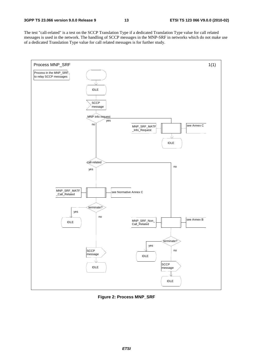The test "call-related" is a test on the SCCP Translation Type if a dedicated Translation Type value for call related messages is used in the network. The handling of SCCP messages in the MNP-SRF in networks which do not make use of a dedicated Translation Type value for call related messages is for further study.



**Figure 2: Process MNP\_SRF**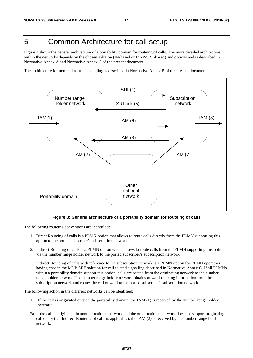### 5 Common Architecture for call setup

Figure 3 shows the general architecture of a portability domain for routeing of calls. The more detailed architecture within the networks depends on the chosen solution (IN-based or MNP/SRF-based) and options and is described in Normative Annex A and Normative Annex C of the present document.

The architecture for non-call related signalling is described in Normative Annex B of the present document.



#### **Figure 3: General architecture of a portability domain for routeing of calls**

The following routeing conventions are identified:

- 1. Direct Routeing of calls is a PLMN option that allows to route calls directly from the PLMN supporting this option to the ported subscriber's subscription network.
- 2. Indirect Routeing of calls is a PLMN option which allows to route calls from the PLMN supporting this option via the number range holder network to the ported subscriber's subscription network.
- 3. Indirect Routeing of calls with reference to the subscription network is a PLMN option for PLMN operators having chosen the MNP-SRF solution for call related signalling described in Normative Annex C. If all PLMNs within a portability domain support this option, calls are routed from the originating network to the number range holder network. The number range holder network obtains onward routeing information from the subscription network and routes the call onward to the ported subscriber's subscription network.

The following action in the different networks can be identified:

- 1. If the call is originated outside the portability domain, the IAM (1) is received by the number range holder network.
- 2a. If the call is originated in another national network and the other national network does not support originating call query (i.e. Indirect Routeing of calls is applicable), the IAM (2) is received by the number range holder network.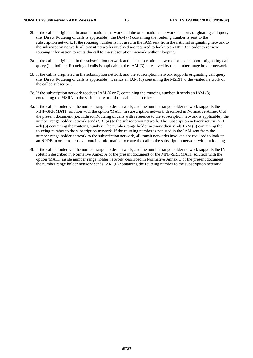- 2b. If the call is originated in another national network and the other national network supports originating call query (i.e. Direct Routeing of calls is applicable), the IAM (7) containing the routeing number is sent to the subscription network. If the routeing number is not used in the IAM sent from the national originating network to the subscription network, all transit networks involved are required to look up an NPDB in order to retrieve routeing information to route the call to the subscription network without looping.
- 3a. If the call is originated in the subscription network and the subscription network does not support originating call query (i.e. Indirect Routeing of calls is applicable), the IAM (3) is received by the number range holder network.
- 3b. If the call is originated in the subscription network and the subscription network supports originating call query (i.e. Direct Routeing of calls is applicable), it sends an IAM (8) containing the MSRN to the visited network of the called subscriber.
- 3c. If the subscription network receives IAM (6 or 7) containing the routeing number, it sends an IAM (8) containing the MSRN to the visited network of the called subscriber.
- 4a. If the call is routed via the number range holder network, and the number range holder network supports the MNP-SRF/MATF solution with the option 'MATF in subscription network' described in Normative Annex C of the present document (i.e. Indirect Routeing of calls with reference to the subscription network is applicable), the number range holder network sends SRI (4) to the subscription network. The subscription network returns SRI ack (5) containing the routeing number. The number range holder network then sends IAM (6) containing the routeing number to the subscription network. If the routeing number is not used in the IAM sent from the number range holder network to the subscription network, all transit networks involved are required to look up an NPDB in order to retrieve routeing information to route the call to the subscription network without looping.
- 4b. If the call is routed via the number range holder network, and the number range holder network supports the IN solution described in Normative Annex A of the present document or the MNP-SRF/MATF solution with the option 'MATF inside number range holder network' described in Normative Annex C of the present document, the number range holder network sends IAM (6) containing the routeing number to the subscription network.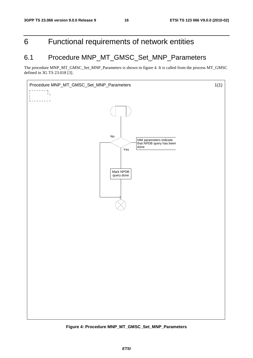### 6 Functional requirements of network entities

### 6.1 Procedure MNP\_MT\_GMSC\_Set\_MNP\_Parameters

The procedure MNP\_MT\_GMSC\_Set\_MNP\_Parameters is shown in figure 4. It is called from the process MT\_GMSC defined in 3G TS 23.018 [3].



**Figure 4: Procedure MNP\_MT\_GMSC\_Set\_MNP\_Parameters**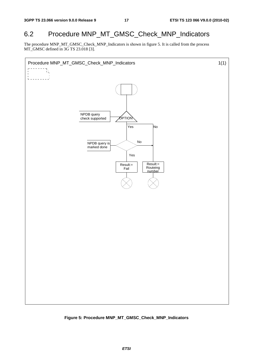### 6.2 Procedure MNP\_MT\_GMSC\_Check\_MNP\_Indicators

The procedure MNP\_MT\_GMSC\_Check\_MNP\_Indicators is shown in figure 5. It is called from the process MT\_GMSC defined in 3G TS 23.018 [3].



**Figure 5: Procedure MNP\_MT\_GMSC\_Check\_MNP\_Indicators**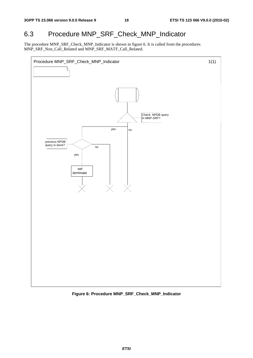### 6.3 Procedure MNP\_SRF\_Check\_MNP\_Indicator

The procedure MNP\_SRF\_Check\_MNP\_Indicator is shown in figure 6. It is called from the procedures MNP\_SRF\_Non\_Call\_Related and MNP\_SRF\_MATF\_Call\_Related.



**Figure 6: Procedure MNP\_SRF\_Check\_MNP\_Indicator**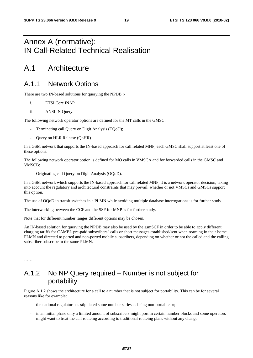### Annex A (normative): IN Call-Related Technical Realisation

### A.1 Architecture

#### A.1.1 Network Options

There are two IN-based solutions for querying the NPDB :-

- i. ETSI Core INAP
- ii. ANSI IN Query.

The following network operator options are defined for the MT calls in the GMSC:

- Terminating call Query on Digit Analysis (TQoD);
- Query on HLR Release (QoHR).

In a GSM network that supports the IN-based approach for call related MNP, each GMSC shall support at least one of these options.

The following network operator option is defined for MO calls in VMSCA and for forwarded calls in the GMSC and VMSCB:

- Originating call Query on Digit Analysis (OQoD).

In a GSM network which supports the IN-based approach for call related MNP, it is a network operator decision, taking into account the regulatory and architectural constraints that may prevail, whether or not VMSCs and GMSCs support this option.

The use of OQoD in transit switches in a PLMN while avoiding multiple database interrogations is for further study.

The interworking between the CCF and the SSF for MNP is for further study.

Note that for different number ranges different options may be chosen.

An IN-based solution for querying the NPDB may also be used by the gsmSCF in order to be able to apply different charging tariffs for CAMEL pre-paid subscribers" calls or short messages established/sent when roaming in their home PLMN and directed to ported and non-ported mobile subscribers, depending on whether or not the called and the calling subscriber subscribe to the same PLMN.

### A.1.2 No NP Query required – Number is not subject for portability

Figure A.1.2 shows the architecture for a call to a number that is not subject for portability. This can be for several reasons like for example:

- the national regulator has stipulated some number series as being non-portable or;
- in an initial phase only a limited amount of subscribers might port in certain number blocks and some operators might want to treat the call routeing according to traditional routeing plans without any change.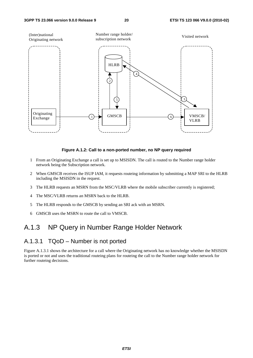

#### **Figure A.1.2: Call to a non-ported number, no NP query required**

- 1 From an Originating Exchange a call is set up to MSISDN. The call is routed to the Number range holder network being the Subscription network.
- 2 When GMSCB receives the ISUP IAM, it requests routeing information by submitting a MAP SRI to the HLRB including the MSISDN in the request.
- 3 The HLRB requests an MSRN from the MSC/VLRB where the mobile subscriber currently is registered;
- 4 The MSC/VLRB returns an MSRN back to the HLRB.
- 5 The HLRB responds to the GMSCB by sending an SRI ack with an MSRN.
- 6 GMSCB uses the MSRN to route the call to VMSCB.

#### A.1.3 NP Query in Number Range Holder Network

#### A.1.3.1 TQoD – Number is not ported

Figure A.1.3.1 shows the architecture for a call where the Originating network has no knowledge whether the MSISDN is ported or not and uses the traditional routeing plans for routeing the call to the Number range holder network for further routeing decisions.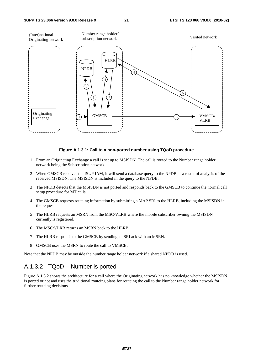

#### **Figure A.1.3.1: Call to a non-ported number using TQoD procedure**

- 1 From an Originating Exchange a call is set up to MSISDN. The call is routed to the Number range holder network being the Subscription network.
- 2 When GMSCB receives the ISUP IAM, it will send a database query to the NPDB as a result of analysis of the received MSISDN. The MSISDN is included in the query to the NPDB.
- 3 The NPDB detects that the MSISDN is not ported and responds back to the GMSCB to continue the normal call setup procedure for MT calls.
- 4 The GMSCB requests routeing information by submitting a MAP SRI to the HLRB, including the MSISDN in the request.
- 5 The HLRB requests an MSRN from the MSC/VLRB where the mobile subscriber owning the MSISDN currently is registered.
- 6 The MSC/VLRB returns an MSRN back to the HLRB.
- 7 The HLRB responds to the GMSCB by sending an SRI ack with an MSRN.
- 8 GMSCB uses the MSRN to route the call to VMSCB.

Note that the NPDB may be outside the number range holder network if a shared NPDB is used.

#### A.1.3.2 TQoD – Number is ported

Figure A.1.3.2 shows the architecture for a call where the Originating network has no knowledge whether the MSISDN is ported or not and uses the traditional routeing plans for routeing the call to the Number range holder network for further routeing decisions.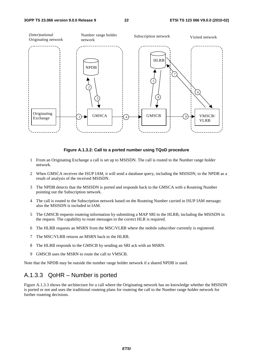

#### **Figure A.1.3.2: Call to a ported number using TQoD procedure**

- 1 From an Originating Exchange a call is set up to MSISDN. The call is routed to the Number range holder network.
- 2 When GMSCA receives the ISUP IAM, it will send a database query, including the MSISDN, to the NPDB as a result of analysis of the received MSISDN.
- 3 The NPDB detects that the MSISDN is ported and responds back to the GMSCA with a Routeing Number pointing out the Subscription network.
- 4 The call is routed to the Subscription network based on the Routeing Number carried in ISUP IAM message; also the MSISDN is included in IAM.
- 5 The GMSCB requests routeing information by submitting a MAP SRI to the HLRB, including the MSISDN in the request. The capability to route messages to the correct HLR is required.
- 6 The HLRB requests an MSRN from the MSC/VLRB where the mobile subscriber currently is registered.
- 7 The MSC/VLRB returns an MSRN back to the HLRB.
- 8 The HLRB responds to the GMSCB by sending an SRI ack with an MSRN.
- 9 GMSCB uses the MSRN to route the call to VMSCB.

Note that the NPDB may be outside the number range holder network if a shared NPDB is used.

#### A.1.3.3 QoHR – Number is ported

Figure A.1.3.3 shows the architecture for a call where the Originating network has no knowledge whether the MSISDN is ported or not and uses the traditional routeing plans for routeing the call to the Number range holder network for further routeing decisions.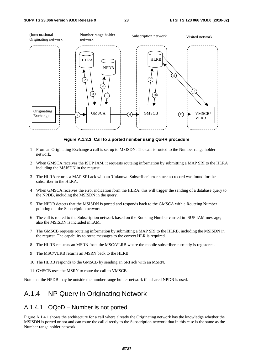

**Figure A.1.3.3: Call to a ported number using QoHR procedure** 

- 1 From an Originating Exchange a call is set up to MSISDN. The call is routed to the Number range holder network.
- 2 When GMSCA receives the ISUP IAM, it requests routeing information by submitting a MAP SRI to the HLRA including the MSISDN in the request.
- 3 The HLRA returns a MAP SRI ack with an 'Unknown Subscriber' error since no record was found for the subscriber in the HLRA.
- 4 When GMSCA receives the error indication form the HLRA, this will trigger the sending of a database query to the NPDB, including the MSISDN in the query.
- 5 The NPDB detects that the MSISDN is ported and responds back to the GMSCA with a Routeing Number pointing out the Subscription network.
- 6 The call is routed to the Subscription network based on the Routeing Number carried in ISUP IAM message; also the MSISDN is included in IAM.
- 7 The GMSCB requests routeing information by submitting a MAP SRI to the HLRB, including the MSISDN in the request. The capability to route messages to the correct HLR is required.
- 8 The HLRB requests an MSRN from the MSC/VLRB where the mobile subscriber currently is registered.
- 9 The MSC/VLRB returns an MSRN back to the HLRB.
- 10 The HLRB responds to the GMSCB by sending an SRI ack with an MSRN.
- 11 GMSCB uses the MSRN to route the call to VMSCB.

Note that the NPDB may be outside the number range holder network if a shared NPDB is used.

#### A.1.4 NP Query in Originating Network

#### A.1.4.1 OQoD – Number is not ported

Figure A.1.4.1 shows the architecture for a call where already the Originating network has the knowledge whether the MSISDN is ported or not and can route the call directly to the Subscription network that in this case is the same as the Number range holder network.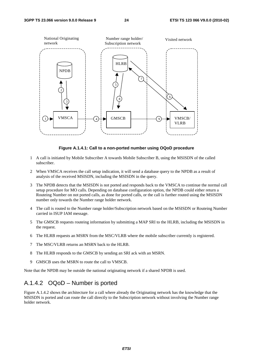

#### **Figure A.1.4.1: Call to a non-ported number using OQoD procedure**

- 1 A call is initiated by Mobile Subscriber A towards Mobile Subscriber B, using the MSISDN of the called subscriber.
- 2 When VMSCA receives the call setup indication, it will send a database query to the NPDB as a result of analysis of the received MSISDN, including the MSISDN in the query.
- 3 The NPDB detects that the MSISDN is not ported and responds back to the VMSCA to continue the normal call setup procedure for MO calls. Depending on database configuration option, the NPDB could either return a Routeing Number on not ported calls, as done for ported calls, or the call is further routed using the MSISDN number only towards the Number range holder network.
- 4 The call is routed to the Number range holder/Subscription network based on the MSISDN or Routeing Number carried in ISUP IAM message.
- 5 The GMSCB requests routeing information by submitting a MAP SRI to the HLRB, including the MSISDN in the request.
- 6 The HLRB requests an MSRN from the MSC/VLRB where the mobile subscriber currently is registered.
- 7 The MSC/VLRB returns an MSRN back to the HLRB.
- 8 The HLRB responds to the GMSCB by sending an SRI ack with an MSRN.
- 9 GMSCB uses the MSRN to route the call to VMSCB.

Note that the NPDB may be outside the national originating network if a shared NPDB is used.

#### A.1.4.2 OQoD – Number is ported

Figure A.1.4.2 shows the architecture for a call where already the Originating network has the knowledge that the MSISDN is ported and can route the call directly to the Subscription network without involving the Number range holder network.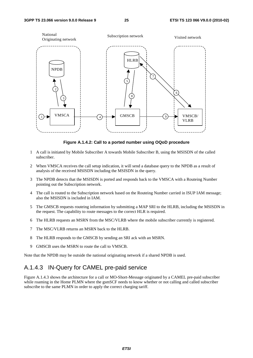

**Figure A.1.4.2: Call to a ported number using OQoD procedure** 

- 1 A call is initiated by Mobile Subscriber A towards Mobile Subscriber B, using the MSISDN of the called subscriber.
- 2 When VMSCA receives the call setup indication, it will send a database query to the NPDB as a result of analysis of the received MSISDN including the MSISDN in the query.
- 3 The NPDB detects that the MSISDN is ported and responds back to the VMSCA with a Routeing Number pointing out the Subscription network.
- 4 The call is routed to the Subscription network based on the Routeing Number carried in ISUP IAM message; also the MSISDN is included in IAM.
- 5 The GMSCB requests routeing information by submitting a MAP SRI to the HLRB, including the MSISDN in the request. The capability to route messages to the correct HLR is required.
- 6 The HLRB requests an MSRN from the MSC/VLRB where the mobile subscriber currently is registered.
- 7 The MSC/VLRB returns an MSRN back to the HLRB.
- 8 The HLRB responds to the GMSCB by sending an SRI ack with an MSRN.
- 9 GMSCB uses the MSRN to route the call to VMSCB.

Note that the NPDB may be outside the national originating network if a shared NPDB is used.

#### A.1.4.3 IN-Query for CAMEL pre-paid service

Figure A.1.4.3 shows the architecture for a call or MO-Short-Message originated by a CAMEL pre-paid subscriber while roaming in the Home PLMN where the gsmSCF needs to know whether or not calling and called subscriber subscribe to the same PLMN in order to apply the correct charging tariff.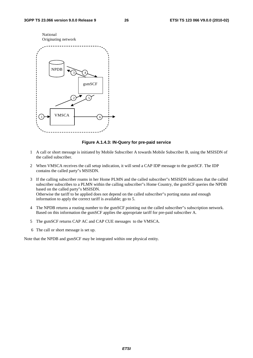

#### **Figure A.1.4.3: IN-Query for pre-paid service**

- 1 A call or short message is initiated by Mobile Subscriber A towards Mobile Subscriber B, using the MSISDN of the called subscriber.
- 2 When VMSCA receives the call setup indication, it will send a CAP IDP message to the gsmSCF. The IDP contains the called party"s MSISDN.
- 3 If the calling subscriber roams in her Home PLMN and the called subscriber"s MSISDN indicates that the called subscriber subscribes to a PLMN within the calling subscriber"s Home Country, the gsmSCF queries the NPDB based on the called party"s MSISDN. Otherwise the tariff to be applied does not depend on the called subscriber"s porting status and enough information to apply the correct tariff is available; go to 5.
- 4 The NPDB returns a routing number to the gsmSCF pointing out the called subscriber"s subscription network. Based on this information the gsmSCF applies the appropriate tariff for pre-paid subscriber A.
- 5 The gsmSCF returns CAP AC and CAP CUE messages to the VMSCA.
- 6 The call or short message is set up.

Note that the NPDB and gsmSCF may be integrated within one physical entity.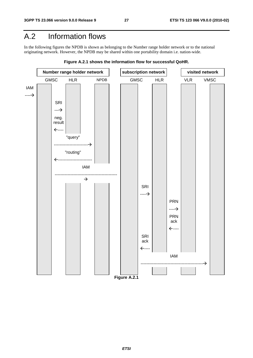### A.2 Information flows

In the following figures the NPDB is shown as belonging to the Number range holder network or to the national originating network. However, the NPDB may be shared within one portability domain i.e. nation-wide.



**Figure A.2.1 shows the information flow for successful QoHR.**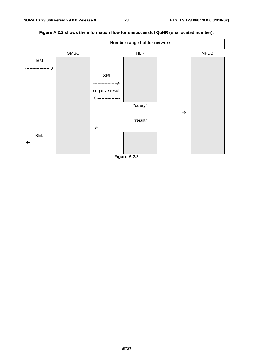

**Figure A.2.2 shows the information flow for unsuccessful QoHR (unallocated number).**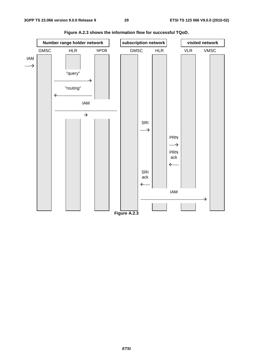

**Figure A.2.3 shows the information flow for successful TQoD.**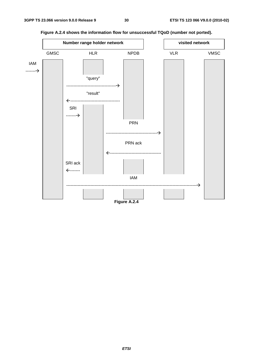

**Figure A.2.4 shows the information flow for unsuccessful TQoD (number not ported).**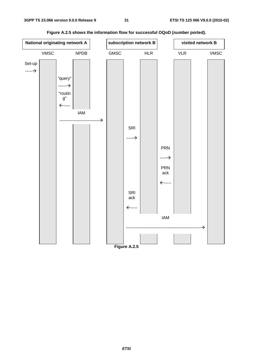

**Figure A.2.5 shows the information flow for successful OQoD (number ported).**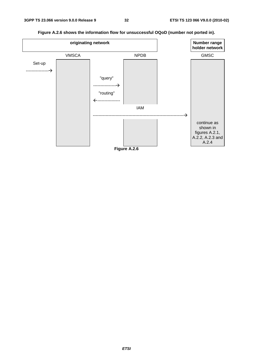**originating network holder network** VMSCA NPDB GMSC Set-up ---------------- "query" ---------------- "routing" ---------------- IAM --------------------------------------------------------------- continue as shown in figures A.2.1, A.2.2, A.2.3 and A.2.4 **Figure A.2.6** 

**Figure A.2.6 shows the information flow for unsuccessful OQoD (number not ported in).**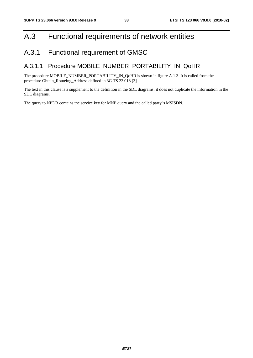### A.3 Functional requirements of network entities

### A.3.1 Functional requirement of GMSC

#### A.3.1.1 Procedure MOBILE\_NUMBER\_PORTABILITY\_IN\_QoHR

The procedure MOBILE\_NUMBER\_PORTABILITY\_IN\_QoHR is shown in figure A.1.3. It is called from the procedure Obtain\_Routeing\_Address defined in 3G TS 23.018 [3].

The text in this clause is a supplement to the definition in the SDL diagrams; it does not duplicate the information in the SDL diagrams.

The query to NPDB contains the service key for MNP query and the called party"s MSISDN.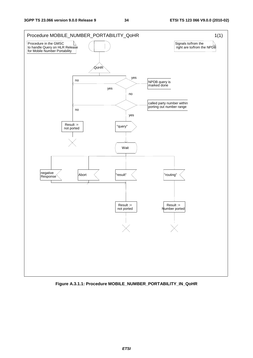

**Figure A.3.1.1: Procedure MOBILE\_NUMBER\_PORTABILITY\_IN\_QoHR**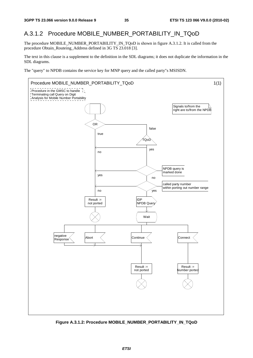#### A.3.1.2 Procedure MOBILE\_NUMBER\_PORTABILITY\_IN\_TQoD

The procedure MOBILE\_NUMBER\_PORTABILITY\_IN\_TQoD is shown in figure A.3.1.2. It is called from the procedure Obtain\_Routeing\_Address defined in 3G TS 23.018 [3].

The text in this clause is a supplement to the definition in the SDL diagrams; it does not duplicate the information in the SDL diagrams.

The "query" to NPDB contains the service key for MNP query and the called party"s MSISDN.



**Figure A.3.1.2: Procedure MOBILE\_NUMBER\_PORTABILITY\_IN\_TQoD**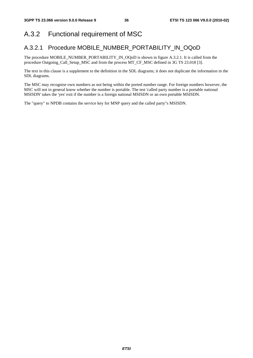# A.3.2 Functional requirement of MSC

### A.3.2.1 Procedure MOBILE\_NUMBER\_PORTABILITY\_IN\_OQoD

The procedure MOBILE\_NUMBER\_PORTABILITY\_IN\_OQoD is shown in figure A.3.2.1. It is called from the procedure Outgoing\_Call\_Setup\_MSC and from the process MT\_CF\_MSC defined in 3G TS 23.018 [3].

The text in this clause is a supplement to the definition in the SDL diagrams; it does not duplicate the information in the SDL diagrams.

The MSC may recognise own numbers as not being within the ported number range. For foreign numbers however, the MSC will not in general know whether the number is portable. The test 'called party number is a portable national MSISDN' takes the 'yes' exit if the number is a foreign national MSISDN or an own portable MSISDN.

The "query" to NPDB contains the service key for MNP query and the called party"s MSISDN.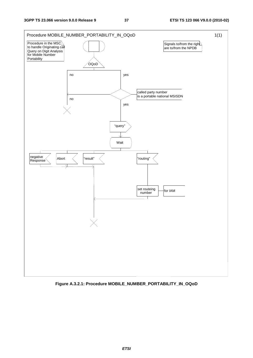

**Figure A.3.2.1: Procedure MOBILE\_NUMBER\_PORTABILITY\_IN\_OQoD**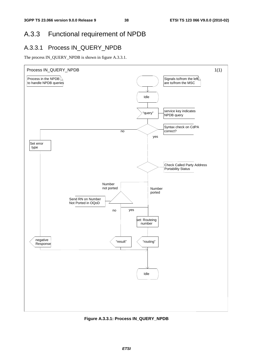# A.3.3 Functional requirement of NPDB

### A.3.3.1 Process IN\_QUERY\_NPDB

The process IN\_QUERY\_NPDB is shown in figure A.3.3.1.



**Figure A.3.3.1: Process IN\_QUERY\_NPDB**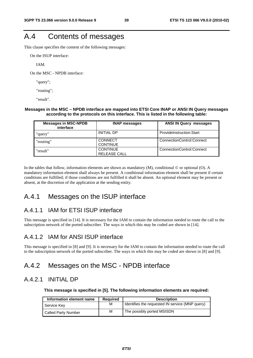# A.4 Contents of messages

This clause specifies the content of the following messages:

On the ISUP interface:

IAM.

On the MSC - NPDB interface:

"query";

"routing";

"result".

#### **Messages in the MSC – NPDB interface are mapped into ETSI Core INAP or ANSI IN Query messages according to the protocols on this interface. This is listed in the following table:**

| <b>Messages in MSC-NPDB</b><br>interface | <b>INAP messages</b>                   | <b>ANSI IN Query messages</b> |  |
|------------------------------------------|----------------------------------------|-------------------------------|--|
| "query"                                  | <b>INITIAL DP</b>                      | ProvideInstruction:Start      |  |
| "routing"                                | <b>CONNECT</b><br><b>CONTINUE</b>      | ConnectionControl:Connect     |  |
| "result"                                 | <b>CONTINUE</b><br><b>RELEASE CALL</b> | ConnectionControl:Connect     |  |

In the tables that follow, information elements are shown as mandatory (M), conditional  $\odot$  or optional (O). A mandatory information element shall always be present. A conditional information element shall be present if certain conditions are fulfilled; if those conditions are not fulfilled it shall be absent. An optional element may be present or absent, at the discretion of the application at the sending entity.

### A.4.1 Messages on the ISUP interface

### A.4.1.1 IAM for ETSI ISUP interface

This message is specified in [14]. It is necessary for the IAM to contain the information needed to route the call to the subscription network of the ported subscriber. The ways in which this may be coded are shown in [14].

### A.4.1.2 IAM for ANSI ISUP interface

This message is specified in [8] and [9]. It is necessary for the IAM to contain the information needed to route the call to the subscription network of the ported subscriber. The ways in which this may be coded are shown in [8] and [9].

### A.4.2 Messages on the MSC - NPDB interface

### A.4.2.1 INITIAL DP

**This message is specified in [5]. The following information elements are required:** 

| Information element name   | Reguired | <b>Description</b>                              |
|----------------------------|----------|-------------------------------------------------|
| Service Key                | M        | Identifies the requested IN service (MNP query) |
| <b>Called Party Number</b> | M        | The possibly ported MSISDN                      |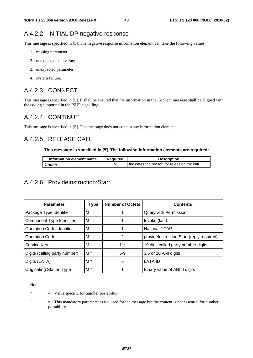### A.4.2.2 INITIAL DP negative response

This message is specified in [5]. The negative response information element can take the following values:

- 1. missing parameter;
- 2. unexpected data value;
- 3. unexpected parameter;
- 4. system failure.

### A.4.2.3 CONNECT

This message is specified in [5]. It shall be ensured that the information in the Connect message shall be aligned with the coding supported in the ISUP signalling.

### A.4.2.4 CONTINUE

This message is specified in [5]. This message does not contain any information element.

### A.4.2.5 RELEASE CALL

#### **This message is specified in [5]. The following information elements are required:**

| Information element name | <b>Required</b> | <b>Description</b>                          |
|--------------------------|-----------------|---------------------------------------------|
| Cause                    | м               | Indicates the reason for releasing the call |

### A.4.2.6 ProvideInstruction:Start

| <b>Parameter</b>                 | Type           | <b>Number of Octets</b> | <b>Contents</b>                           |
|----------------------------------|----------------|-------------------------|-------------------------------------------|
| Package Type Identifier          | м              |                         | Query with Permission                     |
| Component Type Identifier        | м              |                         | Invoke (last)                             |
| <b>Operation Code Identifier</b> | м              |                         | <b>National TCAP</b>                      |
| <b>Operation Code</b>            | м              | 2                       | provideInstruction:Start (reply required) |
| Service Key                      | м              | $11*$                   | 10 digit called party number digits       |
| Digits (calling party number)    | M <sup>1</sup> | $6-9$                   | 3,6 or 10 ANI digits                      |
| Digits (LATA)                    | M <sup>1</sup> | 6                       | <b>LATA ID</b>                            |
| <b>Originating Station Type</b>  | M <sup>1</sup> |                         | Binary value of ANI II digits             |

Note:

\* = Value specific for number portability

1

 = This mandatory parameter is required for the message but the content is not essential for number portability.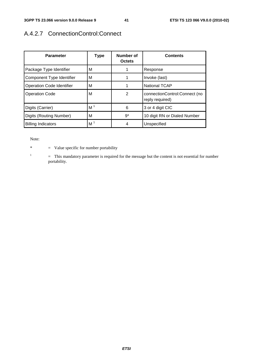# A.4.2.7 ConnectionControl:Connect

| <b>Parameter</b>                 | <b>Type</b>    | Number of<br><b>Octets</b> | <b>Contents</b>                                  |
|----------------------------------|----------------|----------------------------|--------------------------------------------------|
| Package Type Identifier          | м              |                            | Response                                         |
| Component Type Identifier        | м              |                            | Invoke (last)                                    |
| <b>Operation Code Identifier</b> | м              |                            | <b>National TCAP</b>                             |
| <b>Operation Code</b>            | м              | $\overline{2}$             | connectionControl:Connect (no<br>reply required) |
| Digits (Carrier)                 | M <sup>1</sup> | 6                          | 3 or 4 digit CIC                                 |
| Digits (Routing Number)          | м              | $9^*$                      | 10 digit RN or Dialed Number                     |
| <b>Billing Indicators</b>        | M <sup>1</sup> | 4                          | Unspecified                                      |

Note:

1

\* = Value specific for number portability

 = This mandatory parameter is required for the message but the content is not essential for number portability.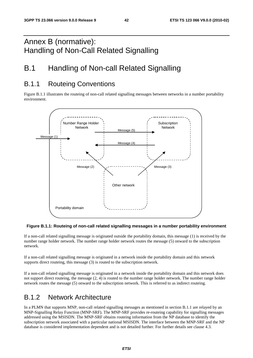# Annex B (normative): Handling of Non-Call Related Signalling

# B.1 Handling of Non-call Related Signalling

# B.1.1 Routeing Conventions

Figure B.1.1 illustrates the routeing of non-call related signalling messages between networks in a number portability environment.



#### **Figure B.1.1: Routeing of non-call related signalling messages in a number portability environment**

If a non-call related signalling message is originated outside the portability domain, this message (1) is received by the number range holder network. The number range holder network routes the message (5) onward to the subscription network.

If a non-call related signalling message is originated in a network inside the portability domain and this network supports direct routeing, this message (3) is routed to the subscription network.

If a non-call related signalling message is originated in a network inside the portability domain and this network does not support direct routeing, the message (2, 4) is routed to the number range holder network. The number range holder network routes the message (5) onward to the subscription network. This is referred to as indirect routeing.

### B.1.2 Network Architecture

In a PLMN that supports MNP, non-call related signalling messages as mentioned in section B.1.1 are relayed by an MNP-Signalling Relay Function (MNP-SRF). The MNP-SRF provides re-routeing capability for signalling messages addressed using the MSISDN. The MNP-SRF obtains routeing information from the NP database to identify the subscription network associated with a particular national MSISDN. The interface between the MNP-SRF and the NP database is considered implementation dependent and is not detailed further. For further details see clause 4.3.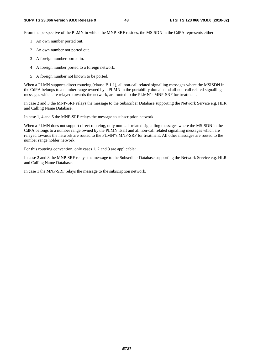From the perspective of the PLMN in which the MNP-SRF resides, the MSISDN in the CdPA represents either:

- 1 An own number ported out.
- 2 An own number not ported out.
- 3 A foreign number ported in.
- 4 A foreign number ported to a foreign network.
- 5 A foreign number not known to be ported.

When a PLMN supports direct routeing (clause B.1.1), all non-call related signalling messages where the MSISDN in the CdPA belongs to a number range owned by a PLMN in the portability domain and all non-call related signalling messages which are relayed towards the network, are routed to the PLMN"s MNP-SRF for treatment.

In case 2 and 3 the MNP-SRF relays the message to the Subscriber Database supporting the Network Service e.g. HLR and Calling Name Database.

In case 1, 4 and 5 the MNP-SRF relays the message to subscription network.

When a PLMN does not support direct routeing, only non-call related signalling messages where the MSISDN in the CdPA belongs to a number range owned by the PLMN itself and all non-call related signalling messages which are relayed towards the network are routed to the PLMN"s MNP-SRF for treatment. All other messages are routed to the number range holder network.

For this routeing convention, only cases 1, 2 and 3 are applicable:

In case 2 and 3 the MNP-SRF relays the message to the Subscriber Database supporting the Network Service e.g. HLR and Calling Name Database.

In case 1 the MNP-SRF relays the message to the subscription network.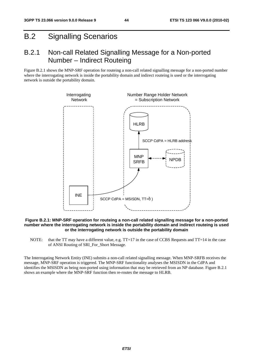# B.2 Signalling Scenarios

### B.2.1 Non-call Related Signalling Message for a Non-ported Number – Indirect Routeing

Figure B.2.1 shows the MNP-SRF operation for routeing a non-call related signalling message for a non-ported number where the interrogating network is inside the portability domain and indirect routeing is used or the interrogating network is outside the portability domain.



#### **Figure B.2.1: MNP-SRF operation for routeing a non-call related signalling message for a non-ported number where the interrogating network is inside the portability domain and indirect routeing is used or the interrogating network is outside the portability domain**

NOTE: that the TT may have a different value, e.g. TT=17 in the case of CCBS Requests and TT=14 in the case of ANSI Routing of SRI\_For\_Short Message.

The Interrogating Network Entity (INE) submits a non-call related signalling message. When MNP-SRFB receives the message, MNP-SRF operation is triggered. The MNP-SRF functionality analyses the MSISDN in the CdPA and identifies the MSISDN as being non-ported using information that may be retrieved from an NP database. Figure B.2.1 shows an example where the MNP-SRF function then re-routes the message to HLRB.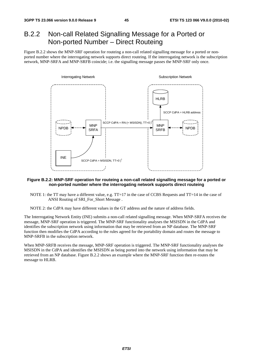# B.2.2 Non-call Related Signalling Message for a Ported or Non-ported Number – Direct Routeing

Figure B.2.2 shows the MNP-SRF operation for routeing a non-call related signalling message for a ported or nonported number where the interrogating network supports direct routeing. If the interrogating network is the subscription network, MNP-SRFA and MNP-SRFB coincide; i.e. the signalling message passes the MNP-SRF only once.



#### **Figure B.2.2: MNP-SRF operation for routeing a non-call related signalling message for a ported or non-ported number where the interrogating network supports direct routeing**

NOTE 1: the TT may have a different value, e.g. TT=17 in the case of CCBS Requests and TT=14 in the case of ANSI Routing of SRI\_For\_Short Message .

NOTE 2: the CdPA may have different values in the GT address and the nature of address fields.

The Interrogating Network Entity (INE) submits a non-call related signalling message. When MNP-SRFA receives the message, MNP-SRF operation is triggered. The MNP-SRF functionality analyses the MSISDN in the CdPA and identifies the subscription network using information that may be retrieved from an NP database. The MNP-SRF function then modifies the CdPA according to the rules agreed for the portability domain and routes the message to MNP-SRFB in the subscription network.

When MNP-SRFB receives the message, MNP-SRF operation is triggered. The MNP-SRF functionality analyses the MSISDN in the CdPA and identifies the MSISDN as being ported into the network using information that may be retrieved from an NP database. Figure B.2.2 shows an example where the MNP-SRF function then re-routes the message to HLRB.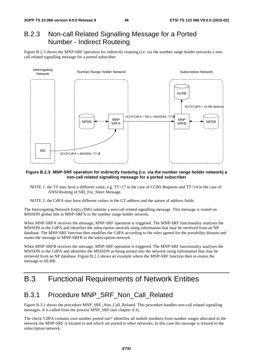### B.2.3 Non-call Related Signalling Message for a Ported Number - Indirect Routeing

Figure B.2.3 shows the MNP-SRF operation for indirectly routeing (i.e. via the number range holder network) a noncall related signalling message for a ported subscriber.



#### **Figure B.2.3: MNP-SRF operation for indirectly routeing (i.e. via the number range holder network) a non-call related signalling message for a ported subscriber**

- NOTE 1: the TT may have a different value, e.g. TT=17 in the case of CCBS Requests and TT=14 in the case of ANSI Routing of SRI\_For\_Short Message.
- NOTE 2: the CdPA may have different values in the GT address and the nature of address fields.

The Interrogating Network Entity (INE) submits a non-call related signalling message. This message is routed on MSISDN global title to MNP-SRFA in the number range holder network.

When MNP-SRFA receives the message, MNP-SRF operation is triggered. The MNP-SRF functionality analyses the MSISDN in the CdPA and identifies the subscription network using information that may be retrieved from an NP database. The MNP-SRF function then modifies the CdPA according to the rules agreed for the portability domain and routes the message to MNP-SRFB in the subscription network.

When MNP-SRFB receives the message, MNP-SRF operation is triggered. The MNP-SRF functionality analyses the MSISDN in the CdPA and identifies the MSISDN as being ported into the network using information that may be retrieved from an NP database. Figure B.2.3 shows an example where the MNP-SRF function then re-routes the message to HLRB.

# B.3 Functional Requirements of Network Entities

### B.3.1 Procedure MNP\_SRF\_Non\_Call\_Related

Figure B.3.1 shows the procedure MNP\_SRF\_Non\_Call\_Related. This procedure handles non-call related signalling messages. It is called from the process MNP\_SRF (see chapter 4.3).

The check 'CdPA contains own number ported out?' identifies all mobile numbers from number ranges allocated to the network the MNP-SRF is located in and which are ported to other networks. In this case the message is relayed to the subscription network.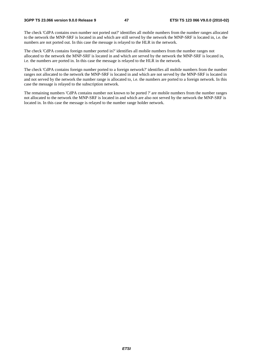The check 'CdPA contains own number not ported out?' identifies all mobile numbers from the number ranges allocated to the network the MNP-SRF is located in and which are still served by the network the MNP-SRF is located in, i.e. the numbers are not ported out. In this case the message is relayed to the HLR in the network.

The check 'CdPA contains foreign number ported in?' identifies all mobile numbers from the number ranges not allocated to the network the MNP-SRF is located in and which are served by the network the MNP-SRF is located in, i.e. the numbers are ported in. In this case the message is relayed to the HLR in the network.

The check 'CdPA contains foreign number ported to a foreign network?' identifies all mobile numbers from the number ranges not allocated to the network the MNP-SRF is located in and which are not served by the MNP-SRF is located in and not served by the network the number range is allocated to, i.e. the numbers are ported to a foreign network. In this case the message is relayed to the subscription network.

The remaining numbers 'CdPA contains number not known to be ported ?' are mobile numbers from the number ranges not allocated to the network the MNP-SRF is located in and which are also not served by the network the MNP-SRF is located in. In this case the message is relayed to the number range holder network.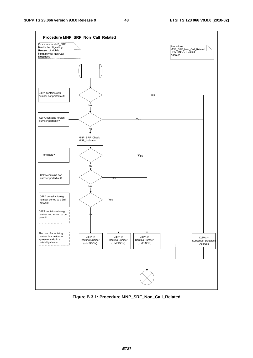

**Figure B.3.1: Procedure MNP\_SRF\_Non\_Call\_Related**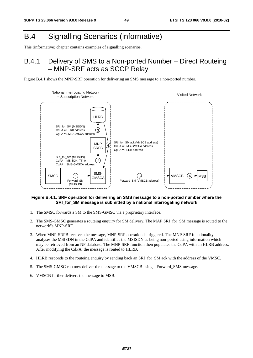# B.4 Signalling Scenarios (informative)

This (informative) chapter contains examples of signalling scenarios.

# B.4.1 Delivery of SMS to a Non-ported Number – Direct Routeing – MNP-SRF acts as SCCP Relay





### **Figure B.4.1: SRF operation for delivering an SMS message to a non-ported number where the SRI** for SM message is submitted by a national interrogating network

- 1. The SMSC forwards a SM to the SMS-GMSC via a proprietary interface.
- 2. The SMS-GMSC generates a routeing enquiry for SM delivery. The MAP SRI\_for\_SM message is routed to the network"s MNP-SRF.
- 3. When MNP-SRFB receives the message, MNP-SRF operation is triggered. The MNP-SRF functionality analyses the MSISDN in the CdPA and identifies the MSISDN as being non-ported using information which may be retrieved from an NP database. The MNP-SRF function then populates the CdPA with an HLRB address. After modifying the CdPA, the message is routed to HLRB.
- 4. HLRB responds to the routeing enquiry by sending back an SRI\_for\_SM ack with the address of the VMSC.
- 5. The SMS-GMSC can now deliver the message to the VMSCB using a Forward\_SMS message.
- 6. VMSCB further delivers the message to MSB.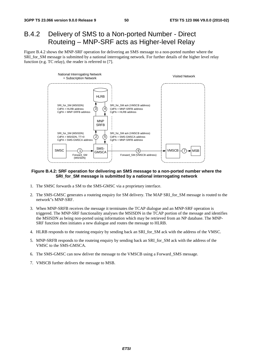# B.4.2 Delivery of SMS to a Non-ported Number - Direct Routeing – MNP-SRF acts as Higher-level Relay

Figure B.4.2 shows the MNP-SRF operation for delivering an SMS message to a non-ported number where the SRI\_for\_SM message is submitted by a national interrogating network. For further details of the higher level relay function (e.g. TC relay), the reader is referred to [7].



#### **Figure B.4.2: SRF operation for delivering an SMS message to a non-ported number where the SRI\_for\_SM message is submitted by a national interrogating network**

- 1. The SMSC forwards a SM to the SMS-GMSC via a proprietary interface.
- 2. The SMS-GMSC generates a routeing enquiry for SM delivery. The MAP SRI\_for\_SM message is routed to the network"s MNP-SRF.
- 3. When MNP-SRFB receives the message it terminates the TCAP dialogue and an MNP-SRF operation is triggered. The MNP-SRF functionality analyses the MSISDN in the TCAP portion of the message and identifies the MSISDN as being non-ported using information which may be retrieved from an NP database. The MNP-SRF function then initiates a new dialogue and routes the message to HLRB.
- 4. HLRB responds to the routeing enquiry by sending back an SRI\_for\_SM ack with the address of the VMSC.
- 5. MNP-SRFB responds to the routeing enquiry by sending back an SRI\_for\_SM ack with the address of the VMSC to the SMS-GMSCA.
- 6. The SMS-GMSC can now deliver the message to the VMSCB using a Forward\_SMS message.
- 7. VMSCB further delivers the message to MSB.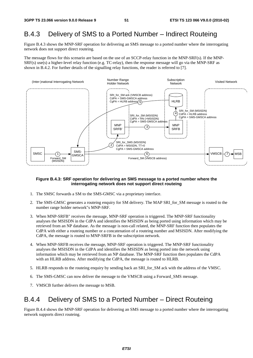### B.4.3 Delivery of SMS to a Ported Number – Indirect Routeing

Figure B.4.3 shows the MNP-SRF operation for delivering an SMS message to a ported number where the interrogating network does not support direct routeing.

The message flows for this scenario are based on the use of an SCCP-relay function in the MNP-SRF(s). If the MNP-SRF(s) use(s) a higher-level relay function (e.g. TC-relay), then the response message will go via the MNP-SRF as shown in B.4.2. For further details of the signalling relay functions, the reader is referred to [7].



#### **Figure B.4.3: SRF operation for delivering an SMS message to a ported number where the interrogating network does not support direct routeing**

- 1. The SMSC forwards a SM to the SMS-GMSC via a proprietary interface.
- 2. The SMS-GMSC generates a routeing enquiry for SM delivery. The MAP SRI for SM message is routed to the number range holder network"s MNP-SRF.
- 3. When MNP-SRFB" receives the message, MNP-SRF operation is triggered. The MNP-SRF functionality analyses the MSISDN in the CdPA and identifies the MSISDN as being ported using information which may be retrieved from an NP database. As the message is non-call related, the MNP-SRF function then populates the CdPA with either a routeing number or a concatenation of a routeing number and MSISDN. After modifying the CdPA, the message is routed to MNP-SRFB in the subscription network.
- 4. When MNP-SRFB receives the message, MNP-SRF operation is triggered. The MNP-SRF functionality analyses the MSISDN in the CdPA and identifies the MSISDN as being ported into the network using information which may be retrieved from an NP database. The MNP-SRF function then populates the CdPA with an HLRB address. After modifying the CdPA, the message is routed to HLRB.
- 5. HLRB responds to the routeing enquiry by sending back an SRI\_for\_SM ack with the address of the VMSC.
- 6. The SMS-GMSC can now deliver the message to the VMSCB using a Forward\_SMS message.
- 7. VMSCB further delivers the message to MSB.

### B.4.4 Delivery of SMS to a Ported Number – Direct Routeing

Figure B.4.4 shows the MNP-SRF operation for delivering an SMS message to a ported number where the interrogating network supports direct routeing.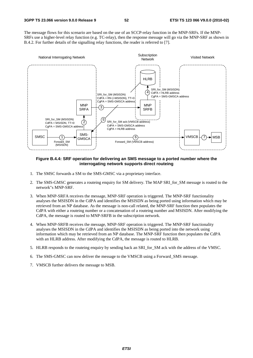The message flows for this scenario are based on the use of an SCCP-relay function in the MNP-SRFs. If the MNP-SRFs use a higher-level relay function (e.g. TC-relay), then the response message will go via the MNP-SRF as shown in B.4.2. For further details of the signalling relay functions, the reader is referred to [7].



#### **Figure B.4.4: SRF operation for delivering an SMS message to a ported number where the interrogating network supports direct routeing**

- 1. The SMSC forwards a SM to the SMS-GMSC via a proprietary interface.
- 2. The SMS-GMSC generates a routeing enquiry for SM delivery. The MAP SRI\_for\_SM message is routed to the network"s MNP-SRF.
- 3. When MNP-SRFA receives the message, MNP-SRF operation is triggered. The MNP-SRF functionality analyses the MSISDN in the CdPA and identifies the MSISDN as being ported using information which may be retrieved from an NP database. As the message is non-call related, the MNP-SRF function then populates the CdPA with either a routeing number or a concatenation of a routeing number and MSISDN. After modifying the CdPA, the message is routed to MNP-SRFB in the subscription network.
- 4. When MNP-SRFB receives the message, MNP-SRF operation is triggered. The MNP-SRF functionality analyses the MSISDN in the CdPA and identifies the MSISDN as being ported into the network using information which may be retrieved from an NP database. The MNP-SRF function then populates the CdPA with an HLRB address. After modifying the CdPA, the message is routed to HLRB.
- 5. HLRB responds to the routeing enquiry by sending back an SRI\_for\_SM ack with the address of the VMSC.
- 6. The SMS-GMSC can now deliver the message to the VMSCB using a Forward\_SMS message.
- 7. VMSCB further delivers the message to MSB.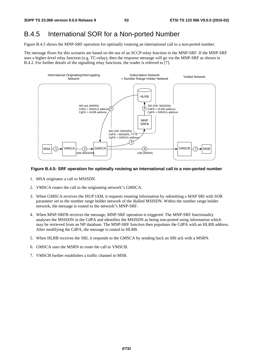# B.4.5 International SOR for a Non-ported Number

Figure B.4.5 shows the MNP-SRF operation for optimally routeing an international call to a non-ported number.

The message flows for this scenario are based on the use of an SCCP-relay function in the MNP-SRF. If the MNP-SRF uses a higher-level relay function (e.g. TC-relay), then the response message will go via the MNP-SRF as shown in B.4.2. For further details of the signalling relay functions, the reader is referred to [7].



### **Figure B.4.5: SRF operation for optimally routeing an international call to a non-ported number**

- 1. MSA originates a call to MSISDN.
- 2. VMSCA routes the call to the originating network"s GMSCA.
- 3. When GMSCA receives the ISUP IAM, it requests routeing information by submitting a MAP SRI with SOR parameter set to the number range holder network of the dialled MSISDN. Within the number range holder network, the message is routed to the network"s MNP-SRF.
- 4. When MNP-SRFB receives the message, MNP-SRF operation is triggered. The MNP-SRF functionality analyses the MSISDN in the CdPA and identifies the MSISDN as being non-ported using information which may be retrieved from an NP database. The MNP-SRF function then populates the CdPA with an HLRB address. After modifying the CdPA, the message is routed to HLRB.
- 5. When HLRB receives the SRI, it responds to the GMSCA by sending back an SRI ack with a MSRN.
- 6. GMSCA uses the MSRN to route the call to VMSCB.
- 7. VMSCB further establishes a traffic channel to MSB.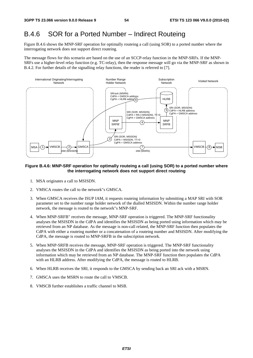# B.4.6 SOR for a Ported Number – Indirect Routeing

Figure B.4.6 shows the MNP-SRF operation for optimally routeing a call (using SOR) to a ported number where the interrogating network does not support direct routeing.

The message flows for this scenario are based on the use of an SCCP-relay function in the MNP-SRFs. If the MNP-SRFs use a higher-level relay function (e.g. TC-relay), then the response message will go via the MNP-SRF as shown in B.4.2. For further details of the signalling relay functions, the reader is referred to [7].



### **Figure B.4.6: MNP-SRF operation for optimally routeing a call (using SOR) to a ported number where the interrogating network does not support direct routeing**

- 1. MSA originates a call to MSISDN.
- 2. VMSCA routes the call to the network"s GMSCA.
- 3. When GMSCA receives the ISUP IAM, it requests routeing information by submitting a MAP SRI with SOR parameter set to the number range holder network of the dialled MSISDN. Within the number range holder network, the message is routed to the network"s MNP-SRF.
- 4. When MNP-SRFB" receives the message, MNP-SRF operation is triggered. The MNP-SRF functionality analyses the MSISDN in the CdPA and identifies the MSISDN as being ported using information which may be retrieved from an NP database. As the message is non-call related, the MNP-SRF function then populates the CdPA with either a routeing number or a concatenation of a routeing number and MSISDN. After modifying the CdPA, the message is routed to MNP-SRFB in the subscription network.
- 5. When MNP-SRFB receives the message, MNP-SRF operation is triggered. The MNP-SRF functionality analyses the MSISDN in the CdPA and identifies the MSISDN as being ported into the network using information which may be retrieved from an NP database. The MNP-SRF function then populates the CdPA with an HLRB address. After modifying the CdPA, the message is routed to HLRB.
- 6. When HLRB receives the SRI, it responds to the GMSCA by sending back an SRI ack with a MSRN.
- 7. GMSCA uses the MSRN to route the call to VMSCB.
- 8. VMSCB further establishes a traffic channel to MSB.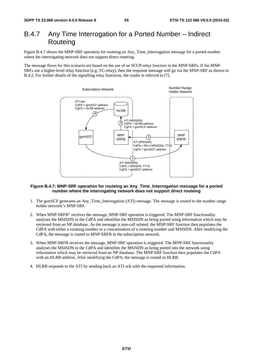# B.4.7 Any Time Interrogation for a Ported Number – Indirect **Routeing**

Figure B.4.7 shows the MNP-SRF operation for routeing an Any\_Time\_Interrogation message for a ported number where the interrogating network does not support direct routeing.

The message flows for this scenario are based on the use of an SCCP-relay function in the MNP-SRFs. If the MNP-SRFs use a higher-level relay function (e.g. TC-relay), then the response message will go via the MNP-SRF as shown in B.4.2. For further details of the signalling relay functions, the reader is referred to [7].



#### **Figure B.4.7: MNP-SRF operation for routeing an Any\_Time\_Interrogation message for a ported number where the interrogating network does not support direct routeing**

- 1. The gsmSCF generates an Any\_Time\_Interrogation (ATI) message. The message is routed to the number range holder network"s MNP-SRF.
- 2. When MNP-SRFB" receives the message, MNP-SRF operation is triggered. The MNP-SRF functionality analyses the MSISDN in the CdPA and identifies the MSISDN as being ported using information which may be retrieved from an NP database. As the message is non-call related, the MNP-SRF function then populates the CdPA with either a routeing number or a concatenation of a routeing number and MSISDN. After modifying the CdPA, the message is routed to MNP-SRFB in the subscription network.
- 3. When MNP-SRFB receives the message, MNP-SRF operation is triggered. The MNP-SRF functionality analyses the MSISDN in the CdPA and identifies the MSISDN as being ported into the network using information which may be retrieved from an NP database. The MNP-SRF function then populates the CdPA with an HLRB address. After modifying the CdPA, the message is routed to HLRB.
- 4. HLRB responds to the ATI by sending back an ATI ack with the requested information.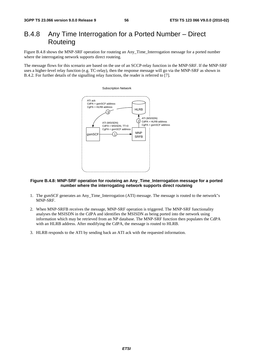# B.4.8 Any Time Interrogation for a Ported Number – Direct **Routeing**

Figure B.4.8 shows the MNP-SRF operation for routeing an Any\_Time\_Interrogation message for a ported number where the interrogating network supports direct routeing.

The message flows for this scenario are based on the use of an SCCP-relay function in the MNP-SRF. If the MNP-SRF uses a higher-level relay function (e.g. TC-relay), then the response message will go via the MNP-SRF as shown in B.4.2. For further details of the signalling relay functions, the reader is referred to [7].



### **Figure B.4.8: MNP-SRF operation for routeing an Any\_Time\_Interrogation message for a ported number where the interrogating network supports direct routeing**

- 1. The gsmSCF generates an Any\_Time\_Interrogation (ATI) message. The message is routed to the network"s MNP-SRF.
- 2. When MNP-SRFB receives the message, MNP-SRF operation is triggered. The MNP-SRF functionality analyses the MSISDN in the CdPA and identifies the MSISDN as being ported into the network using information which may be retrieved from an NP database. The MNP-SRF function then populates the CdPA with an HLRB address. After modifying the CdPA, the message is routed to HLRB.
- 3. HLRB responds to the ATI by sending back an ATI ack with the requested information.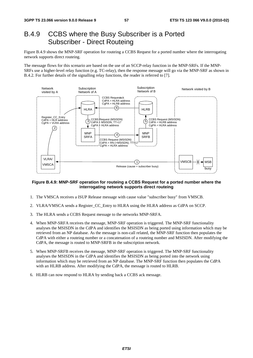## B.4.9 CCBS where the Busy Subscriber is a Ported Subscriber - Direct Routeing

Figure B.4.9 shows the MNP-SRF operation for routeing a CCBS Request for a ported number where the interrogating network supports direct routeing.

The message flows for this scenario are based on the use of an SCCP-relay function in the MNP-SRFs. If the MNP-SRFs use a higher-level relay function (e.g. TC-relay), then the response message will go via the MNP-SRF as shown in B.4.2. For further details of the signalling relay functions, the reader is referred to [7].



#### **Figure B.4.9: MNP-SRF operation for routeing a CCBS Request for a ported number where the interrogating network supports direct routeing**

- 1. The VMSCA receives a ISUP Release message with cause value "subscriber busy" from VMSCB.
- 2. VLRA/VMSCA sends a Register\_CC\_Entry to HLRA using the HLRA address as CdPA on SCCP.
- 3. The HLRA sends a CCBS Request message to the networks MNP-SRFA.
- 4. When MNP-SRFA receives the message, MNP-SRF operation is triggered. The MNP-SRF functionality analyses the MSISDN in the CdPA and identifies the MSISDN as being ported using information which may be retrieved from an NP database. As the message is non-call related, the MNP-SRF function then populates the CdPA with either a routeing number or a concatenation of a routeing number and MSISDN. After modifying the CdPA, the message is routed to MNP-SRFB in the subscription network.
- 5. When MNP-SRFB receives the message, MNP-SRF operation is triggered. The MNP-SRF functionality analyses the MSISDN in the CdPA and identifies the MSISDN as being ported into the network using information which may be retrieved from an NP database. The MNP-SRF function then populates the CdPA with an HLRB address. After modifying the CdPA, the message is routed to HLRB.
- 6. HLRB can now respond to HLRA by sending back a CCBS ack message.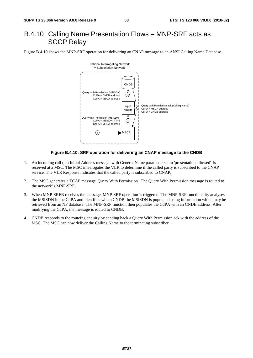# B.4.10 Calling Name Presentation Flows – MNP-SRF acts as SCCP Relay

Figure B.4.10 shows the MNP-SRF operation for delivering an CNAP message to an ANSI Calling Name Database.



#### **Figure B.4.10: SRF operation for delivering an CNAP message to the CNDB**

- 1. An incoming call ( an Initial Address message with Generic Name parameter set to 'presentation allowed' is received at a MSC. The MSC inteerogates the VLR to determine if the called party is subscribed to the CNAP service. The VLR Response indicates that the called party is subscribed to CNAP;
- 2. The MSC generates a TCAP message 'Query With Permission'. The Query With Permission message is routed to the network"s MNP-SRF;
- 3. When MNP-SRFB receives the message, MNP-SRF operation is triggered. The MNP-SRF functionality analyses the MSISDN in the CdPA and identifies which CNDB the MSISDN is populated using information which may be retrieved from an NP database. The MNP-SRF function then populates the CdPA with an CNDB address. After modifying the CdPA, the message is routed to CNDB;
- 4. CNDB responds to the routeing enquiry by sending back a Query With Permission ack with the address of the MSC. The MSC can now deliver the Calling Name to the terminating subscriber .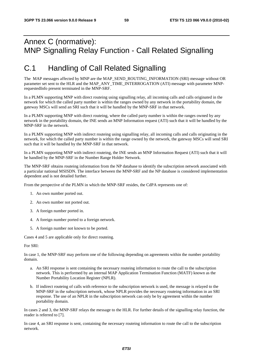# Annex C (normative): MNP Signalling Relay Function - Call Related Signalling

# C.1 Handling of Call Related Signalling

The MAP messages affected by MNP are the MAP\_SEND\_ROUTING\_INFORMATION (SRI) message without OR parameter set sent to the HLR and the MAP\_ANY\_TIME\_INTERROGATION (ATI) message with parameter MNPrequestedInfo present terminated in the MNP-SRF.

In a PLMN supporting MNP with direct routeing using signalling relay, all incoming calls and calls originated in the network for which the called party number is within the ranges owned by any network in the portability domain, the gateway MSCs will send an SRI such that it will be handled by the MNP-SRF in that network.

In a PLMN supporting MNP with direct routeing, where the called party number is within the ranges owned by any network in the portability domain, the INE sends an MNP Information request (ATI) such that it will be handled by the MNP-SRF in the network.

In a PLMN supporting MNP with indirect routeing using signalling relay, all incoming calls and calls originating in the network, for which the called party number is within the range owned by the network, the gateway MSCs will send SRI such that it will be handled by the MNP-SRF in that network.

In a PLMN supporting MNP with indirect routeing, the INE sends an MNP Information Request (ATI) such that it will be handled by the MNP-SRF in the Number Range Holder Network.

The MNP-SRF obtains routeing information from the NP database to identify the subscription network associated with a particular national MSISDN. The interface between the MNP-SRF and the NP database is considered implementation dependent and is not detailed further.

From the perspective of the PLMN in which the MNP-SRF resides, the CdPA represents one of:

- 1. An own number ported out.
- 2. An own number not ported out.
- 3. A foreign number ported in.
- 4. A foreign number ported to a foreign network.
- 5. A foreign number not known to be ported.

Cases 4 and 5 are applicable only for direct routeing.

For SRI:

In case 1, the MNP-SRF may perform one of the following depending on agreements within the number portability domain.

- a. An SRI response is sent containing the necessary routeing information to route the call to the subscription network. This is performed by an internal MAP Application Termination Function (MATF) known as the Number Portability Location Register (NPLR).
- b. If indirect routeing of calls with reference to the subscription network is used, the message is relayed to the MNP-SRF in the subscription network, whose NPLR provides the necessary routeing information in an SRI response. The use of an NPLR in the subscription network can only be by agreement within the number portability domain.

In cases 2 and 3, the MNP-SRF relays the message to the HLR. For further details of the signalling relay function, the reader is referred to [7].

In case 4, an SRI response is sent, containing the necessary routeing information to route the call to the subscription network.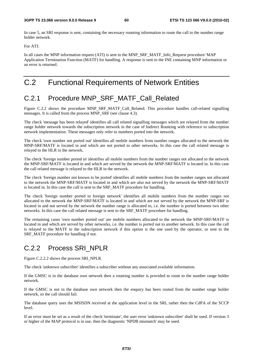In case 5, an SRI response is sent, containing the necessary routeing information to route the call to the number range holder network.

For ATI:

In all cases the MNP information request (ATI) is sent to the MNP\_SRF\_MATF\_Info\_Request procedure/ MAP Application Termination Function (MATF) for handling. A response is sent to the INE containing MNP information or an error is returned.

# C.2 Functional Requirements of Network Entities

# C.2.1 Procedure MNP\_SRF\_MATF\_Call\_Related

Figure C.2.2 shows the procedure MNP\_SRF\_MATF\_Call\_Related. This procedure handles call-related signalling messages. It is called from the process MNP\_SRF (see clause 4.3).

The check 'message has been relayed' identifies all call related signalling messages which are relayed from the number range holder network towards the subscription network in the case of Indirect Routeing with reference to subscription network implementation. These messages only refer to numbers ported into the network.

The check 'own number not ported out' identifies all mobile numbers from number ranges allocated to the network the MNP-SRF/MATF is located in and which are not ported to other networks. In this case the call related message is relayed to the HLR in the network.

The check 'foreign number ported in' identifies all mobile numbers from the number ranges not allocated to the network the MNP-SRF/MATF is located in and which are served by the network the MNP-SRF/MATF is located in. In this case the call related message is relayed to the HLR in the network.

The check 'foreign number not known to be ported' identifies all mobile numbers from the number ranges not allocated to the network the MNP-SRF/MATF is located in and which are also not served by the network the MNP-SRF/MATF is located in. In this case the call is sent to the SRF\_MATF procedure for handling.

The check 'foreign number ported to foreign network' identifies all mobile numbers from the number ranges not allocated to the network the MNP-SRF/MATF is located in and which are not served by the network the MNP-SRF is located in and not served by the network the number range is allocated to, i.e. the number is ported between two other networks. In this case the call related message is sent to the SRF\_MATF procedure for handling.

The remaining cases 'own number ported out' are mobile numbers allocated to the network the MNP-SRF/MATF is located in and which are served by other networks, i.e. the number is ported out to another network. In this case the call is relayed to the MATF in the subscription network if this option is the one used by the operator, or sent to the SRF\_MATF procedure for handling if not.

# C.2.2 Process SRI\_NPLR

Figure C.2.2.2 shows the process SRI\_NPLR.

The check 'unknown subscriber' identifies a subscriber without any associated available information.

If the GMSC is in the database own network then a routeing number is provided to route to the number range holder network.

If the GMSC is not in the database own network then the enquiry has been routed from the number range holder network, so the call should fail.

The database query uses the MSISDN received at the application level in the SRI, rather then the CdPA of the SCCP level.

If an error must be set as a result of the check 'terminate', the user error 'unknown subscriber' shall be used. If version 3 or higher of the MAP protocol is in use, then the diagnostic 'NPDB mismatch' may be used.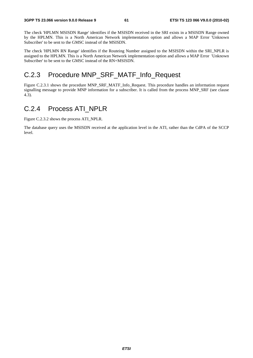The check 'HPLMN MSISDN Range' identifies if the MSISDN received in the SRI exists in a MSISDN Range owned by the HPLMN. This is a North American Network implementation option and allows a MAP Error 'Unknown Subscriber' to be sent to the GMSC instead of the MSISDN.

The check 'HPLMN RN Range' identifies if the Routeing Number assigned to the MSISDN within the SRI\_NPLR is assigned to the HPLMN. This is a North American Network implementation option and allows a MAP Error 'Unknown Subscriber' to be sent to the GMSC instead of the RN+MSISDN.

### C.2.3 Procedure MNP\_SRF\_MATF\_Info\_Request

Figure C.2.3.1 shows the procedure MNP\_SRF\_MATF\_Info\_Request. This procedure handles an information request signalling message to provide MNP information for a subscriber. It is called from the process MNP\_SRF (see clause 4.3).

### C.2.4 Process ATI\_NPLR

Figure C.2.3.2 shows the process ATI\_NPLR.

The database query uses the MSISDN received at the application level in the ATI, rather than the CdPA of the SCCP level.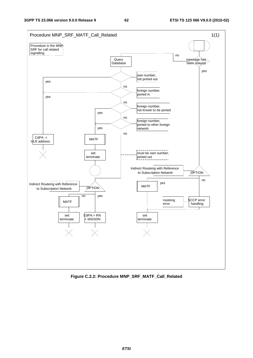

**Figure C.2.2: Procedure MNP\_SRF\_MATF\_Call\_Related**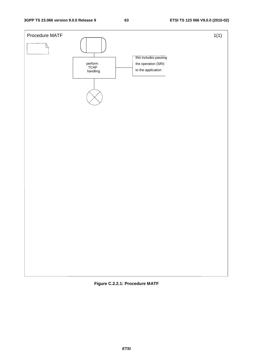

**Figure C.2.2.1: Procedure MATF**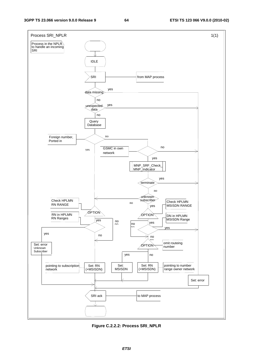

**Figure C.2.2.2: Process SRI\_NPLR**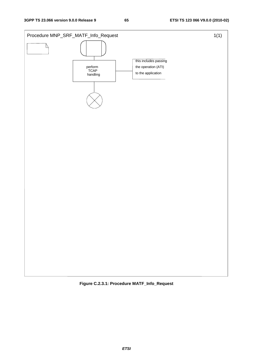

**Figure C.2.3.1: Procedure MATF\_Info\_Request**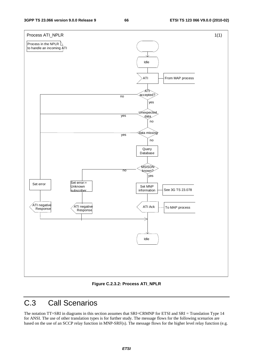

**Figure C.2.3.2: Process ATI\_NPLR** 

# C.3 Call Scenarios

The notation TT=SRI in diagrams in this section assumes that SRI=CRMNP for ETSI and SRI = Translation Type 14 for ANSI. The use of other translation types is for further study. The message flows for the following scenarios are based on the use of an SCCP relay function in MNP-SRF(s). The message flows for the higher level relay function (e.g.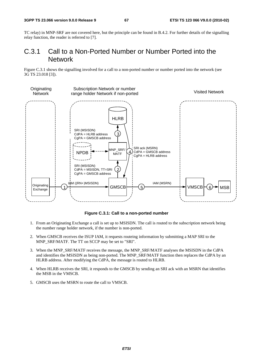TC relay) in MNP-SRF are not covered here, but the principle can be found in B.4.2. For further details of the signalling relay function, the reader is referred to [7].

### C.3.1 Call to a Non-Ported Number or Number Ported into the Network

Figure C.3.1 shows the signalling involved for a call to a non-ported number or number ported into the network (see 3G TS 23.018 [3]).



### **Figure C.3.1: Call to a non-ported number**

- 1. From an Originating Exchange a call is set up to MSISDN. The call is routed to the subscription network being the number range holder network, if the number is non-ported.
- 2. When GMSCB receives the ISUP IAM, it requests routeing information by submitting a MAP SRI to the MNP\_SRF/MATF. The TT on SCCP may be set to "SRI".
- 3. When the MNP\_SRF/MATF receives the message, the MNP\_SRF/MATF analyses the MSISDN in the CdPA and identifies the MSISDN as being non-ported. The MNP\_SRF/MATF function then replaces the CdPA by an HLRB address. After modifying the CdPA, the message is routed to HLRB.
- 4. When HLRB receives the SRI, it responds to the GMSCB by sending an SRI ack with an MSRN that identifies the MSB in the VMSCB.
- 5. GMSCB uses the MSRN to route the call to VMSCB.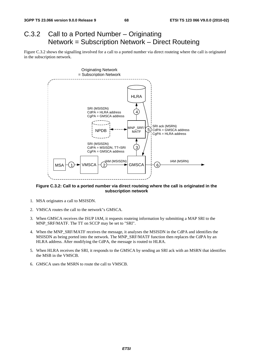# C.3.2 Call to a Ported Number – Originating Network = Subscription Network – Direct Routeing

Figure C.3.2 shows the signalling involved for a call to a ported number via direct routeing where the call is originated in the subscription network.



**Figure C.3.2: Call to a ported number via direct routeing where the call is originated in the subscription network** 

- 1. MSA originates a call to MSISDN.
- 2. VMSCA routes the call to the network"s GMSCA.
- 3. When GMSCA receives the ISUP IAM, it requests routeing information by submitting a MAP SRI to the MNP\_SRF/MATF. The TT on SCCP may be set to "SRI".
- 4. When the MNP\_SRF/MATF receives the message, it analyses the MSISDN in the CdPA and identifies the MSISDN as being ported into the network. The MNP\_SRF/MATF function then replaces the CdPA by an HLRA address. After modifying the CdPA, the message is routed to HLRA.
- 5. When HLRA receives the SRI, it responds to the GMSCA by sending an SRI ack with an MSRN that identifies the MSB in the VMSCB.
- 6. GMSCA uses the MSRN to route the call to VMSCB.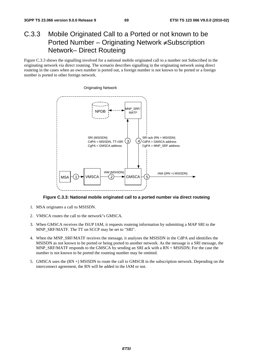# C.3.3 Mobile Originated Call to a Ported or not known to be Ported Number – Originating Network ≠Subscription Network– Direct Routeing

Figure C.3.3 shows the signalling involved for a national mobile originated call to a number not Subscribed in the originating network via direct routeing. The scenario describes signalling in the originating network using direct routeing in the cases when an own number is ported out, a foreign number is not known to be ported or a foreign number is ported to other foreign network.



**Figure C.3.3: National mobile originated call to a ported number via direct routeing** 

- 1. MSA originates a call to MSISDN.
- 2. VMSCA routes the call to the network"s GMSCA.
- 3. When GMSCA receives the ISUP IAM, it requests routeing information by submitting a MAP SRI to the MNP\_SRF/MATF. The TT on SCCP may be set to "SRI".
- 4. When the MNP\_SRF/MATF receives the message, it analyses the MSISDN in the CdPA and identifies the MSISDN as not known to be ported or being ported to another network. As the message is a SRI message, the MNP\_SRF/MATF responds to the GMSCA by sending an SRI ack with a RN + MSISDN; For the case the number is not known to be ported the routeing number may be omitted.
- 5. GMSCA uses the (RN +) MSISDN to route the call to GMSCB in the subscription network. Depending on the interconnect agreement, the RN will be added in the IAM or not.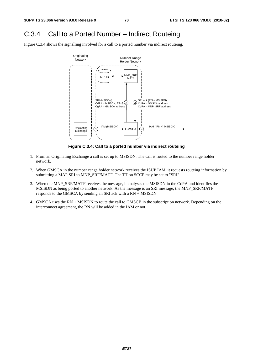### C.3.4 Call to a Ported Number – Indirect Routeing

Figure C.3.4 shows the signalling involved for a call to a ported number via indirect routeing.



**Figure C.3.4: Call to a ported number via indirect routeing** 

- 1. From an Originating Exchange a call is set up to MSISDN. The call is routed to the number range holder network.
- 2. When GMSCA in the number range holder network receives the ISUP IAM, it requests routeing information by submitting a MAP SRI to MNP\_SRF/MATF. The TT on SCCP may be set to "SRI".
- 3. When the MNP\_SRF/MATF receives the message, it analyses the MSISDN in the CdPA and identifies the MSISDN as being ported to another network. As the message is an SRI message, the MNP\_SRF/MATF responds to the GMSCA by sending an SRI ack with a RN + MSISDN.
- 4. GMSCA uses the RN + MSISDN to route the call to GMSCB in the subscription network. Depending on the interconnect agreement, the RN will be added in the IAM or not.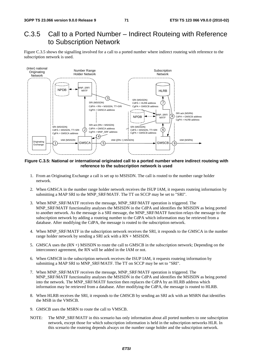### C.3.5 Call to a Ported Number – Indirect Routeing with Reference to Subscription Network

Figure C.3.5 shows the signalling involved for a call to a ported number where indirect routeing with reference to the subscription network is used.



**Figure C.3.5: National or international originated call to a ported number where indirect routeing with reference to the subscription network is used** 

- 1. From an Originating Exchange a call is set up to MSISDN. The call is routed to the number range holder network.
- 2. When GMSCA in the number range holder network receives the ISUP IAM, it requests routeing information by submitting a MAP SRI to the MNP\_SRF/MATF. The TT on SCCP may be set to "SRI".
- 3. When MNP\_SRF/MATF receives the message, MNP\_SRF/MATF operation is triggered. The MNP\_SRF/MATF functionality analyses the MSISDN in the CdPA and identifies the MSISDN as being ported to another network. As the message is a SRI message, the MNP\_SRF/MATF function relays the message to the subscription network by adding a routeing number to the CdPA which information may be retrieved from a database. After modifying the CdPA, the message is routed to the subscription network.
- 4. When MNP\_SRF/MATF in the subscription network receives the SRI, it responds to the GMSCA in the number range holder network by sending a SRI ack with a RN + MSISDN.
- 5. GMSCA uses the (RN +) MSISDN to route the call to GMSCB in the subscription network; Depending on the interconnect agreement, the RN will be added in the IAM or not.
- 6. When GMSCB in the subscription network receives the ISUP IAM, it requests routeing information by submitting a MAP SRI to MNP\_SRF/MATF. The TT on SCCP may be set to "SRI".
- 7. When MNP\_SRF/MATF receives the message, MNP\_SRF/MATF operation is triggered. The MNP\_SRF/MATF functionality analyses the MSISDN in the CdPA and identifies the MSISDN as being ported into the network. The MNP\_SRF/MATF function then replaces the CdPA by an HLRB address which information may be retrieved from a database. After modifying the CdPA, the message is routed to HLRB.
- 8. When HLRB receives the SRI, it responds to the GMSCB by sending an SRI ack with an MSRN that identifies the MSB in the VMSCB.
- 9. GMSCB uses the MSRN to route the call to VMSCB.
- NOTE: The MNP\_SRF/MATF in this scenario has only information about all ported numbers to one subscription network, except those for which subscription information is held in the subscription networks HLR. In this scenario the routeing depends always on the number range holder and the subscription network.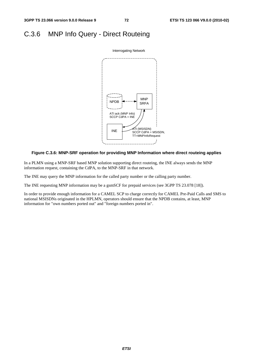# C.3.6 MNP Info Query - Direct Routeing



#### **Figure C.3.6: MNP-SRF operation for providing MNP Information where direct routeing applies**

In a PLMN using a MNP-SRF based MNP solution supporting direct routeing, the INE always sends the MNP information request, containing the CdPA, to the MNP-SRF in that network.

The INE may query the MNP information for the called party number or the calling party number.

The INE requesting MNP information may be a gsmSCF for prepaid services (see 3GPP TS 23.078 [18]).

In order to provide enough information for a CAMEL SCP to charge correctly for CAMEL Pre-Paid Calls and SMS to national MSISDNs originated in the HPLMN, operators should ensure that the NPDB contains, at least, MNP information for "own numbers ported out" and "foreign numbers ported in".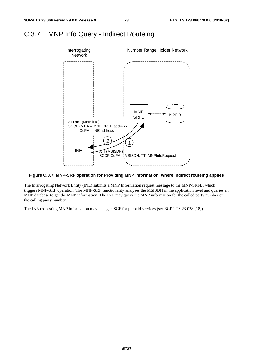### C.3.7 MNP Info Query - Indirect Routeing



#### **Figure C.3.7: MNP-SRF operation for Providing MNP information where indirect routeing applies**

The Interrogating Network Entity (INE) submits a MNP Information request message to the MNP-SRFB, which triggers MNP-SRF operation. The MNP-SRF functionality analyses the MSISDN in the application level and queries an MNP database to get the MNP information. The INE may query the MNP information for the called party number or the calling party number.

The INE requesting MNP information may be a gsmSCF for prepaid services (see 3GPP TS 23.078 [18]).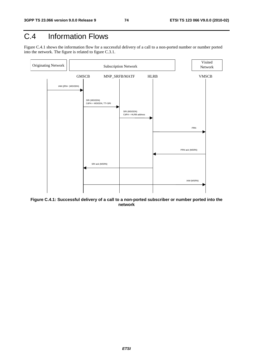# C.4 Information Flows

Figure C.4.1 shows the information flow for a successful delivery of a call to a non-ported number or number ported into the network. The figure is related to figure C.3.1.



**Figure C.4.1: Successful delivery of a call to a non-ported subscriber or number ported into the network**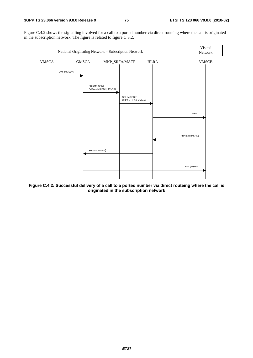Figure C.4.2 shows the signalling involved for a call to a ported number via direct routeing where the call is originated in the subscription network. The figure is related to figure C.3.2.



**Figure C.4.2: Successful delivery of a call to a ported number via direct routeing where the call is originated in the subscription network**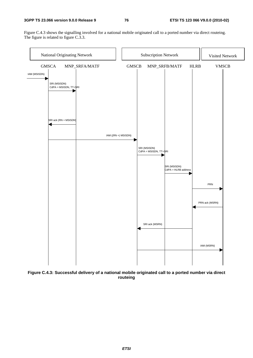#### **3GPP TS 23.066 version 9.0.0 Release 9 76 ETSI TS 123 066 V9.0.0 (2010-02)**

Figure C.4.3 shows the signalling involved for a national mobile originated call to a ported number via direct routeing. The figure is related to figure C.3.3.



**Figure C.4.3: Successful delivery of a national mobile originated call to a ported number via direct routeing**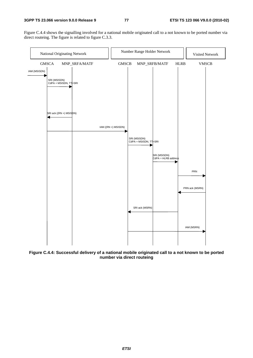Figure C.4.4 shows the signalling involved for a national mobile originated call to a not known to be ported number via direct routeing. The figure is related to figure C.3.3.



**Figure C.4.4: Successful delivery of a national mobile originated call to a not known to be ported number via direct routeing**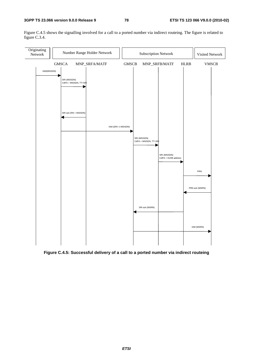Figure C.4.5 shows the signalling involved for a call to a ported number via indirect routeing. The figure is related to figure C.3.4.



**Figure C.4.5: Successful delivery of a call to a ported number via indirect routeing**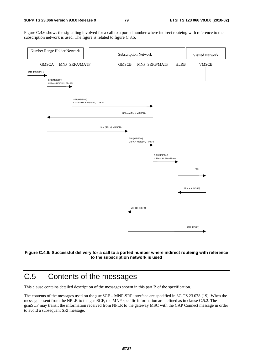Figure C.4.6 shows the signalling involved for a call to a ported number where indirect routeing with reference to the subscription network is used. The figure is related to figure C.3.5.





# C.5 Contents of the messages

This clause contains detailed description of the messages shown in this part B of the specification.

The contents of the messages used on the gsmSCF – MNP-SRF interface are specified in 3G TS 23.078 [19]. When the message is sent from the NPLR to the gsmSCF, the MNP specific information are defined as in clause C.5.2. The gsmSCF may transit the information received from NPLR to the gateway MSC with the CAP Connect message in order to avoid a subsequent SRI message.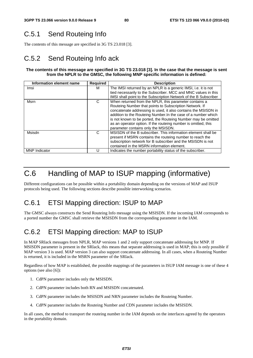# C.5.1 Send Routeing Info

The contents of this message are specified in 3G TS 23.018 [3].

### C.5.2 Send Routeing Info ack

#### **The contents of this message are specified in 3G TS 23.018 [3]. In the case that the message is sent from the NPLR to the GMSC, the following MNP specific information is defined:**

| Information element name | <b>Required</b> | <b>Description</b>                                               |
|--------------------------|-----------------|------------------------------------------------------------------|
| Imsi                     | м               | The IMSI returned by an NPLR is a generic IMSI, i.e. it is not   |
|                          |                 | tied necessarily to the Subscriber. MCC and MNC values in this   |
|                          |                 | IMSI shall point to the Subscription Network of the B Subscriber |
| Msrn                     | C               | When returned from the NPLR, this parameter contains a           |
|                          |                 | Routeing Number that points to Subscription Network. If          |
|                          |                 | concatenate addressing is used, it also contains the MSISDN in   |
|                          |                 | addition to the Routeing Number. In the case of a number which   |
|                          |                 | is not known to be ported, the Routeing Number may be omitted    |
|                          |                 | as an operator option. If the routeing number is omitted, this   |
|                          |                 | parameter contains only the MSISDN.                              |
| Msisdn                   | C               | MSISDN of the B subscriber. This information element shall be    |
|                          |                 | present if MSRN contains the routeing number to reach the        |
|                          |                 | subscription network for B subscriber and the MSISDN is not      |
|                          |                 | contained in the MSRN information element.                       |
| <b>MNP</b> Indicator     |                 | Indicates the number portability status of the subscriber.       |

# C.6 Handling of MAP to ISUP mapping (informative)

Different configurations can be possible within a portability domain depending on the versions of MAP and ISUP protocols being used. The following sections describe possible interworking scenarios.

### C.6.1 ETSI Mapping direction: ISUP to MAP

The GMSC always constructs the Send Routeing Info message using the MSISDN. If the incoming IAM corresponds to a ported number the GMSC shall retrieve the MSISDN from the corresponding parameter in the IAM.

### C.6.2 ETSI Mapping direction: MAP to ISUP

In MAP SRIack messages from NPLR, MAP versions 1 and 2 only support concatenate addressing for MNP. If MSISDN parameter is present in the SRIack, this means that separate addressing is used in MAP; this is only possible if MAP version 3 is used. MAP version 3 can also support concatenate addressing. In all cases, when a Routeing Number is returned, it is included in the MSRN parameter of the SRIack.

Regardless of how MAP is established, the possible mappings of the parameters in ISUP IAM message is one of these 4 options (see also [6]):

- 1. CdPN parameter includes only the MSISDN.
- 2. CdPN parameter includes both RN and MSISDN concatenated.
- 3. CdPN parameter includes the MSISDN and NRN parameter includes the Routeing Number.
- 4. CdPN parameter includes the Routeing Number and CDN parameter includes the MSISDN.

In all cases, the method to transport the routeing number in the IAM depends on the interfaces agreed by the operators in the portability domain.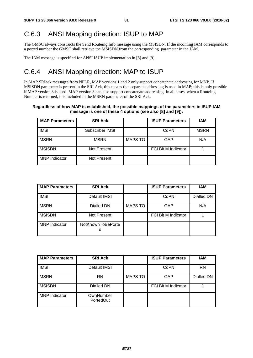# C.6.3 ANSI Mapping direction: ISUP to MAP

The GMSC always constructs the Send Routeing Info message using the MSISDN. If the incoming IAM corresponds to a ported number the GMSC shall retrieve the MSISDN from the corresponding parameter in the IAM.

The IAM message is specified for ANSI ISUP implementation in [8] and [9].

### C.6.4 ANSI Mapping direction: MAP to ISUP

In MAP SRIack messages from NPLR, MAP versions 1 and 2 only support concatenate addressing for MNP. If MSISDN parameter is present in the SRI Ack, this means that separate addressing is used in MAP; this is only possible if MAP version 3 is used. MAP version 3 can also support concatenate addressing. In all cases, when a Routeing Number is returned, it is included in the MSRN parameter of the SRI Ack.

#### **Regardless of how MAP is established, the possible mappings of the parameters in ISUP IAM message is one of these 4 options (see also [8] and [9]):**

| <b>MAP Parameters</b> | <b>SRI Ack</b>  |                | <b>ISUP Parameters</b>     | IAM         |
|-----------------------|-----------------|----------------|----------------------------|-------------|
| <b>IMSI</b>           | Subscriber IMSI |                | CdPN                       | <b>MSRN</b> |
| <b>MSRN</b>           | <b>MSRN</b>     | <b>MAPS TO</b> | GAP                        | N/A         |
| <b>MSISDN</b>         | Not Present     |                | <b>FCI Bit M Indicator</b> |             |
| <b>MNP</b> Indicator  | Not Present     |                |                            |             |

| <b>MAP Parameters</b> | <b>SRI Ack</b>         |                | <b>ISUP Parameters</b>     | <b>IAM</b> |
|-----------------------|------------------------|----------------|----------------------------|------------|
| <b>IMSI</b>           | Default IMSI           |                | CdPN                       | Dialled DN |
| <b>MSRN</b>           | Dialled DN             | <b>MAPS TO</b> | <b>GAP</b>                 | N/A        |
| <b>MSISDN</b>         | Not Present            |                | <b>FCI Bit M Indicator</b> |            |
| <b>MNP</b> Indicator  | NotKnownToBePorte<br>a |                |                            |            |

| <b>MAP Parameters</b> | <b>SRI Ack</b>         |                | <b>ISUP Parameters</b>     | IAM        |
|-----------------------|------------------------|----------------|----------------------------|------------|
| <b>IMSI</b>           | Default IMSI           |                | CdPN                       | <b>RN</b>  |
| <b>MSRN</b>           | <b>RN</b>              | <b>MAPS TO</b> | <b>GAP</b>                 | Dialled DN |
| <b>MSISDN</b>         | Dialled DN             |                | <b>FCI Bit M Indicator</b> |            |
| <b>MNP</b> Indicator  | OwnNumber<br>PortedOut |                |                            |            |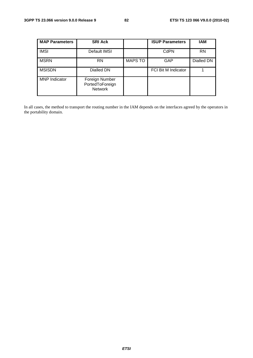| <b>MAP Parameters</b> | <b>SRI Ack</b>                                      |                | <b>ISUP Parameters</b>     | IAM        |
|-----------------------|-----------------------------------------------------|----------------|----------------------------|------------|
| <b>IMSI</b>           | Default IMSI                                        |                | CdPN                       | <b>RN</b>  |
| <b>MSRN</b>           | <b>RN</b>                                           | <b>MAPS TO</b> | <b>GAP</b>                 | Dialled DN |
| <b>MSISDN</b>         | Dialled DN                                          |                | <b>FCI Bit M Indicator</b> |            |
| <b>MNP</b> Indicator  | Foreign Number<br>PortedToForeign<br><b>Network</b> |                |                            |            |

In all cases, the method to transport the routing number in the IAM depends on the interfaces agreed by the operators in the portability domain.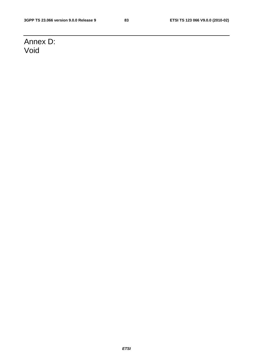# Annex D: Void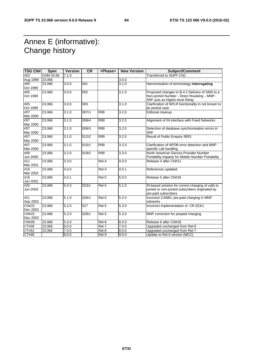# Annex E (informative): Change history

| <b>TSG CN#</b>           | <b>Spec</b> | <b>Version</b> | <b>CR</b> | <phase></phase> | <b>New Version</b> | <b>Subject/Comment</b>                                                                                                         |
|--------------------------|-------------|----------------|-----------|-----------------|--------------------|--------------------------------------------------------------------------------------------------------------------------------|
| #03                      | GSM 03.66   | 7.1.0          |           |                 |                    | Transferred to 3GPP CN2                                                                                                        |
| Aug 1999                 | 23.066      |                |           |                 | 3.0.0              |                                                                                                                                |
| #05<br>Oct 1999          | 23.066      | 3.0.0          | 001       |                 | 3.1.0              | Harmonisation of terminology interrogating                                                                                     |
| #05<br>Oct 1999          | 23.066      | 3.0.0          | 002       |                 | 3.1.0              | Proposed changes to B.4.2 Delivery of SMS to a<br>Non-ported Number - Direct Routeing - MNP-<br>SRF acts as Higher-level Relay |
| #05<br>Oct 1999          | 23.066      | 3.0.0          | 003       |                 | 3.1.0              | Clarification of NPLR functionality in not known to<br>be ported case                                                          |
| #07<br>Mar 2000          | 23.066      | 3.1.0          | 007r1     | <b>R99</b>      | 3.2.0              | Editorial cleanup                                                                                                              |
| #07<br>Mar 2000          | 23.066      | 3.1.0          | 008r4     | R99             | 3.2.0              | Alignment of IN interface with Fixed Networks                                                                                  |
| #07<br>Mar 2000          | 23.066      | 3.1.0          | 009r3     | <b>R99</b>      | 3.2.0              | Detection of database synchronisation errors in<br><b>SRF</b>                                                                  |
| #07<br>Mar 2000          | 23.066      | 3.1.0          | 012r2     | <b>R99</b>      | 3.2.0              | Result of Public Enquiry 9953                                                                                                  |
| #07<br>Mar 2000          | 23.066      | 3.1.0          | 015r1     | <b>R99</b>      | 3.2.0              | Clarification of NPDB error detection and MNP<br>specific call handling                                                        |
| #08<br><b>Jun 2000</b>   | 23.066      | 3.2.0          | 019r2     | <b>R99</b>      | 3.3.0              | North American Service Provider Number<br>Portability impacts for Mobile Number Portability                                    |
| #11<br>Mar 2001          | 23.066      | 3.3.0          |           | Rel-4           | 4.0.0              | Release 4 after CN#11                                                                                                          |
| #16<br>Mar 2002          | 23.066      | 4.0.0          |           | Rel-4           | 4.0.1              | References updated                                                                                                             |
| #16<br>Jun 2002          | 23.066      | 4.0.1          |           | Rel-5           | 5.0.0              | Release 5 after CN#16                                                                                                          |
| #20<br>Jun 2003          | 23.066      | 5.0.0          | 023r1     | Rel-5           | 5.1.0              | IN-based solution for correct charging of calls to<br>ported or non-ported subscribers originated by<br>pre-paid subscribers   |
| #21<br>Sep 2003          | 23.066      | 5.1.0          | 026r1     | Rel-5           | 5.2.0              | Incorrect CAMEL pre-paid charging in MNP<br>networks                                                                           |
| <b>CN#22</b><br>Dec 2003 | 23.066      | 5.2.0          | 027       | Rel-5           | 5.3.0              | Incorrect implementation of CR 023r1                                                                                           |
| <b>CN#22</b><br>Dec 2003 | 23.066      | 5.2.0          | 028r1     | Rel-5           | 5.3.0              | MNP correction for prepaid charging                                                                                            |
| <b>CN#26</b>             | 23.066      | 5.3.0          |           | Rel-6           | 6.0.0              | Release 6 after CN#26                                                                                                          |
| CT#36                    | 23.066      | 6.0.0          |           | $ReI-7$         | 7.0.0              | Upgraded unchanged from Rel-6                                                                                                  |
| CT#42                    | 23.066      | 7.0.0          |           | Rel-8           | 8.0.0              | Upgraded unchanged from Rel-7                                                                                                  |
| CT#46                    |             | 8.0.0          |           | $ReI-9$         | 9.0.0              | Update to Rel-9 version (MCC)                                                                                                  |